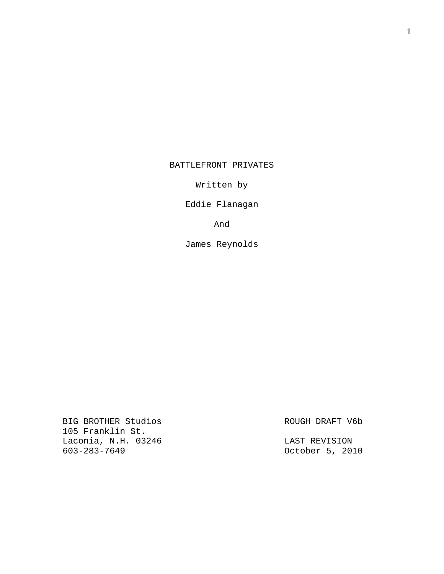BATTLEFRONT PRIVATES

Written by

Eddie Flanagan

And

James Reynolds

BIG BROTHER Studios ROUGH DRAFT V6b 105 Franklin St. Laconia, N.H. 03246 LAST REVISION

0ctober 5, 2010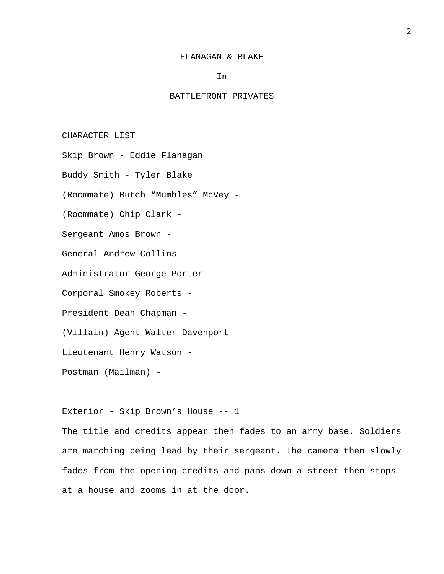#### FLANAGAN & BLAKE

In

# BATTLEFRONT PRIVATES

CHARACTER LIST

Skip Brown - Eddie Flanagan

Buddy Smith - Tyler Blake

(Roommate) Butch "Mumbles" McVey -

(Roommate) Chip Clark -

Sergeant Amos Brown -

General Andrew Collins -

Administrator George Porter -

Corporal Smokey Roberts -

President Dean Chapman -

(Villain) Agent Walter Davenport -

Lieutenant Henry Watson -

Postman (Mailman) -

Exterior - Skip Brown's House -- 1

The title and credits appear then fades to an army base. Soldiers are marching being lead by their sergeant. The camera then slowly fades from the opening credits and pans down a street then stops at a house and zooms in at the door.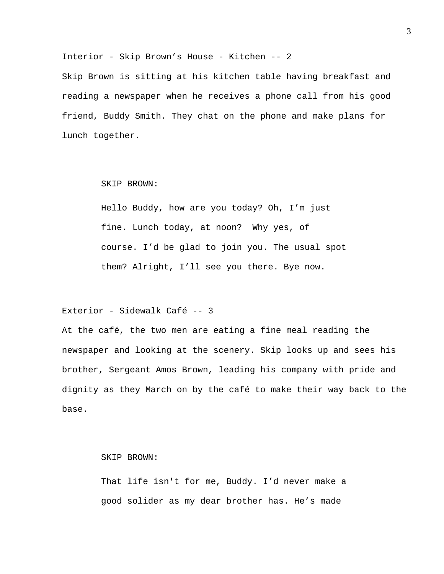Interior - Skip Brown's House - Kitchen -- 2 Skip Brown is sitting at his kitchen table having breakfast and reading a newspaper when he receives a phone call from his good friend, Buddy Smith. They chat on the phone and make plans for lunch together.

#### SKIP BROWN:

Hello Buddy, how are you today? Oh, I'm just fine. Lunch today, at noon? Why yes, of course. I'd be glad to join you. The usual spot them? Alright, I'll see you there. Bye now.

# Exterior - Sidewalk Café -- 3

At the café, the two men are eating a fine meal reading the newspaper and looking at the scenery. Skip looks up and sees his brother, Sergeant Amos Brown, leading his company with pride and dignity as they March on by the café to make their way back to the base.

SKIP BROWN:

That life isn't for me, Buddy. I'd never make a good solider as my dear brother has. He's made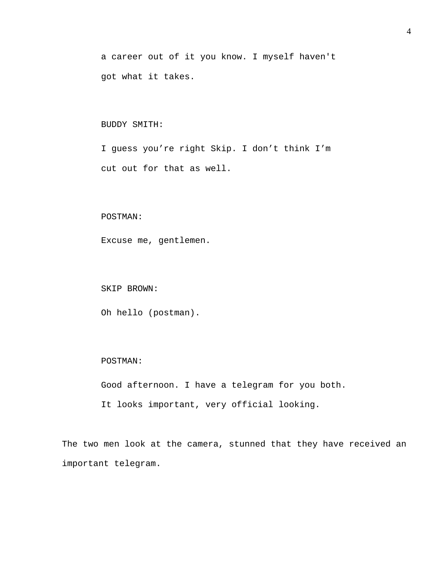a career out of it you know. I myself haven't got what it takes.

## BUDDY SMITH:

I guess you're right Skip. I don't think I'm cut out for that as well.

## POSTMAN:

Excuse me, gentlemen.

#### SKIP BROWN:

Oh hello (postman).

## POSTMAN:

Good afternoon. I have a telegram for you both.

It looks important, very official looking.

The two men look at the camera, stunned that they have received an important telegram.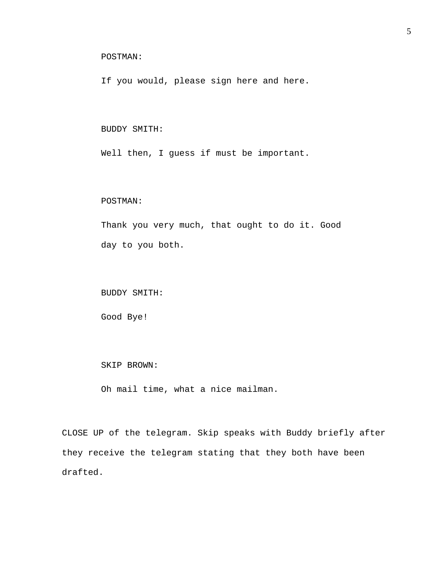# POSTMAN:

If you would, please sign here and here.

## BUDDY SMITH:

Well then, I guess if must be important.

#### POSTMAN:

Thank you very much, that ought to do it. Good day to you both.

BUDDY SMITH:

Good Bye!

#### SKIP BROWN:

Oh mail time, what a nice mailman.

CLOSE UP of the telegram. Skip speaks with Buddy briefly after they receive the telegram stating that they both have been drafted.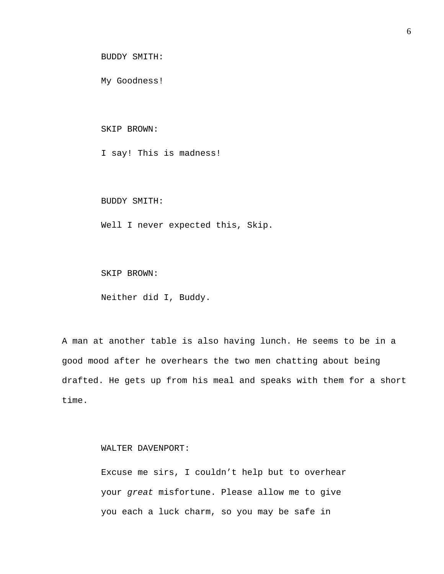BUDDY SMITH:

My Goodness!

SKIP BROWN:

I say! This is madness!

BUDDY SMITH:

Well I never expected this, Skip.

SKIP BROWN:

Neither did I, Buddy.

A man at another table is also having lunch. He seems to be in a good mood after he overhears the two men chatting about being drafted. He gets up from his meal and speaks with them for a short time.

WALTER DAVENPORT:

Excuse me sirs, I couldn't help but to overhear your *great* misfortune. Please allow me to give you each a luck charm, so you may be safe in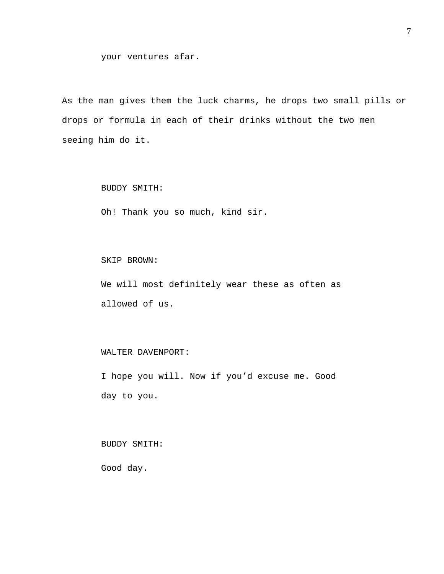As the man gives them the luck charms, he drops two small pills or drops or formula in each of their drinks without the two men seeing him do it.

### BUDDY SMITH:

Oh! Thank you so much, kind sir.

SKIP BROWN:

We will most definitely wear these as often as allowed of us.

## WALTER DAVENPORT:

I hope you will. Now if you'd excuse me. Good day to you.

BUDDY SMITH:

Good day.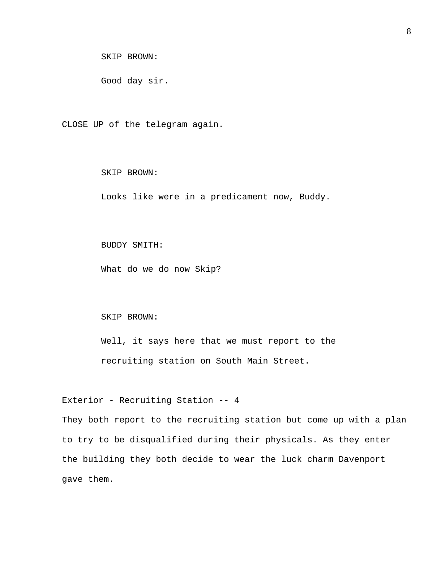SKIP BROWN:

Good day sir.

CLOSE UP of the telegram again.

SKIP BROWN:

Looks like were in a predicament now, Buddy.

BUDDY SMITH:

What do we do now Skip?

SKIP BROWN:

Well, it says here that we must report to the recruiting station on South Main Street.

Exterior - Recruiting Station -- 4

They both report to the recruiting station but come up with a plan to try to be disqualified during their physicals. As they enter the building they both decide to wear the luck charm Davenport gave them.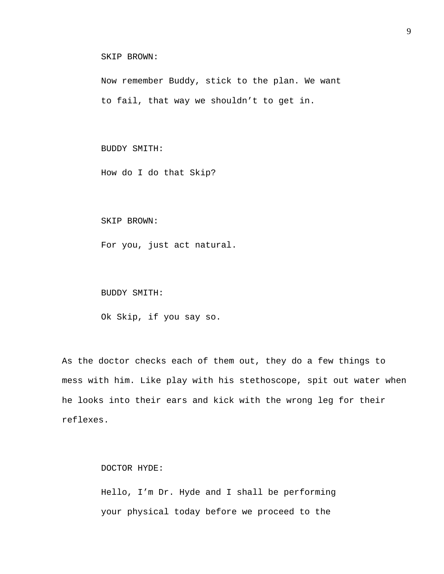```
SKIP BROWN:
```
Now remember Buddy, stick to the plan. We want to fail, that way we shouldn't to get in.

BUDDY SMITH:

How do I do that Skip?

SKIP BROWN:

For you, just act natural.

BUDDY SMITH:

Ok Skip, if you say so.

As the doctor checks each of them out, they do a few things to mess with him. Like play with his stethoscope, spit out water when he looks into their ears and kick with the wrong leg for their reflexes.

DOCTOR HYDE:

Hello, I'm Dr. Hyde and I shall be performing your physical today before we proceed to the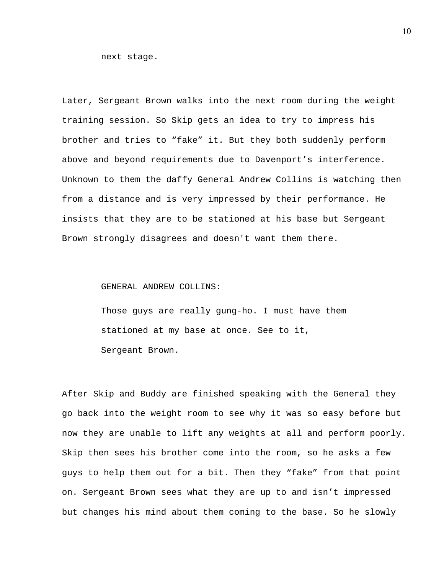next stage.

Later, Sergeant Brown walks into the next room during the weight training session. So Skip gets an idea to try to impress his brother and tries to "fake" it. But they both suddenly perform above and beyond requirements due to Davenport's interference. Unknown to them the daffy General Andrew Collins is watching then from a distance and is very impressed by their performance. He insists that they are to be stationed at his base but Sergeant Brown strongly disagrees and doesn't want them there.

## GENERAL ANDREW COLLINS:

Those guys are really gung-ho. I must have them stationed at my base at once. See to it, Sergeant Brown.

After Skip and Buddy are finished speaking with the General they go back into the weight room to see why it was so easy before but now they are unable to lift any weights at all and perform poorly. Skip then sees his brother come into the room, so he asks a few guys to help them out for a bit. Then they "fake" from that point on. Sergeant Brown sees what they are up to and isn't impressed but changes his mind about them coming to the base. So he slowly

10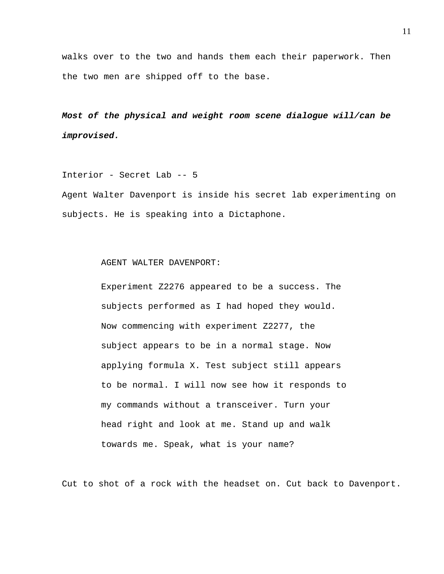walks over to the two and hands them each their paperwork. Then the two men are shipped off to the base.

*Most of the physical and weight room scene dialogue will/can be improvised.* 

Interior - Secret Lab -- 5

Agent Walter Davenport is inside his secret lab experimenting on subjects. He is speaking into a Dictaphone.

AGENT WALTER DAVENPORT:

Experiment Z2276 appeared to be a success. The subjects performed as I had hoped they would. Now commencing with experiment Z2277, the subject appears to be in a normal stage. Now applying formula X. Test subject still appears to be normal. I will now see how it responds to my commands without a transceiver. Turn your head right and look at me. Stand up and walk towards me. Speak, what is your name?

Cut to shot of a rock with the headset on. Cut back to Davenport.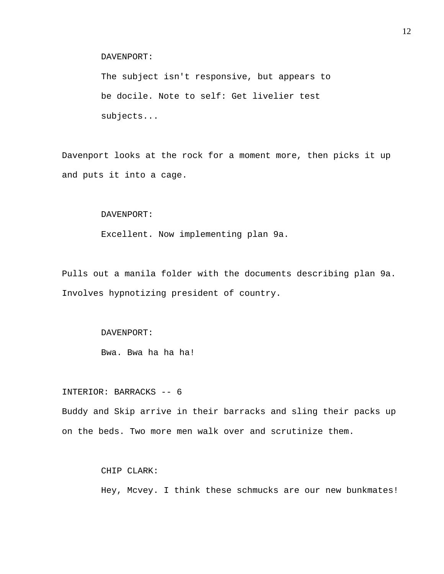DAVENPORT:

The subject isn't responsive, but appears to be docile. Note to self: Get livelier test subjects...

Davenport looks at the rock for a moment more, then picks it up and puts it into a cage.

DAVENPORT:

Excellent. Now implementing plan 9a.

Pulls out a manila folder with the documents describing plan 9a. Involves hypnotizing president of country.

## DAVENPORT:

Bwa. Bwa ha ha ha!

INTERIOR: BARRACKS -- 6 Buddy and Skip arrive in their barracks and sling their packs up on the beds. Two more men walk over and scrutinize them.

CHIP CLARK:

Hey, Mcvey. I think these schmucks are our new bunkmates!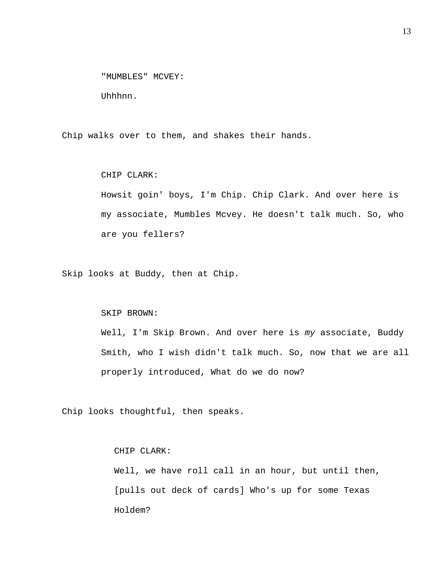"MUMBLES" MCVEY:

Uhhhnn.

Chip walks over to them, and shakes their hands.

CHIP CLARK:

Howsit goin' boys, I'm Chip. Chip Clark. And over here is my associate, Mumbles Mcvey. He doesn't talk much. So, who are you fellers?

Skip looks at Buddy, then at Chip.

SKIP BROWN:

Well, I'm Skip Brown. And over here is *my* associate, Buddy Smith, who I wish didn't talk much. So, now that we are all properly introduced, What do we do now?

Chip looks thoughtful, then speaks.

CHIP CLARK:

Well, we have roll call in an hour, but until then, [pulls out deck of cards] Who's up for some Texas Holdem?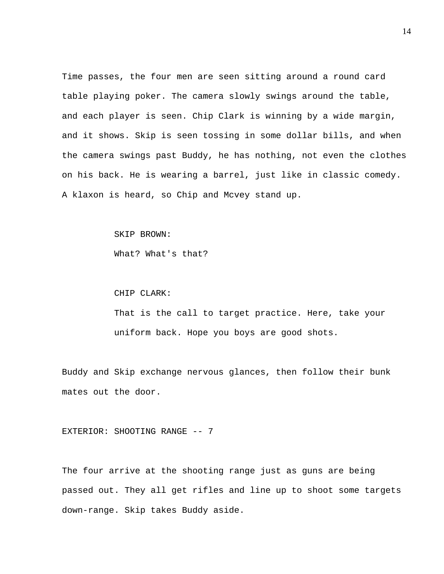Time passes, the four men are seen sitting around a round card table playing poker. The camera slowly swings around the table, and each player is seen. Chip Clark is winning by a wide margin, and it shows. Skip is seen tossing in some dollar bills, and when the camera swings past Buddy, he has nothing, not even the clothes on his back. He is wearing a barrel, just like in classic comedy. A klaxon is heard, so Chip and Mcvey stand up.

SKIP BROWN:

What? What's that?

CHIP CLARK:

That is the call to target practice. Here, take your uniform back. Hope you boys are good shots.

Buddy and Skip exchange nervous glances, then follow their bunk mates out the door.

EXTERIOR: SHOOTING RANGE -- 7

The four arrive at the shooting range just as guns are being passed out. They all get rifles and line up to shoot some targets down-range. Skip takes Buddy aside.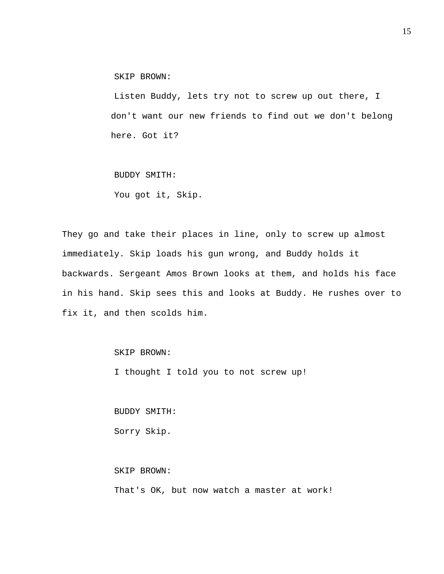SKIP BROWN:

 Listen Buddy, lets try not to screw up out there, I don't want our new friends to find out we don't belong here. Got it?

BUDDY SMITH:

You got it, Skip.

They go and take their places in line, only to screw up almost immediately. Skip loads his gun wrong, and Buddy holds it backwards. Sergeant Amos Brown looks at them, and holds his face in his hand. Skip sees this and looks at Buddy. He rushes over to fix it, and then scolds him.

SKIP BROWN:

I thought I told you to not screw up!

BUDDY SMITH:

Sorry Skip.

SKIP BROWN:

That's OK, but now watch a master at work!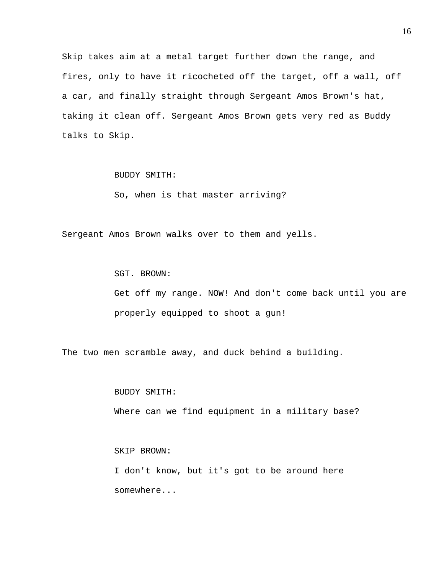Skip takes aim at a metal target further down the range, and fires, only to have it ricocheted off the target, off a wall, off a car, and finally straight through Sergeant Amos Brown's hat, taking it clean off. Sergeant Amos Brown gets very red as Buddy talks to Skip.

BUDDY SMITH:

So, when is that master arriving?

Sergeant Amos Brown walks over to them and yells.

SGT. BROWN:

Get off my range. NOW! And don't come back until you are properly equipped to shoot a gun!

The two men scramble away, and duck behind a building.

BUDDY SMITH:

Where can we find equipment in a military base?

SKIP BROWN:

I don't know, but it's got to be around here somewhere...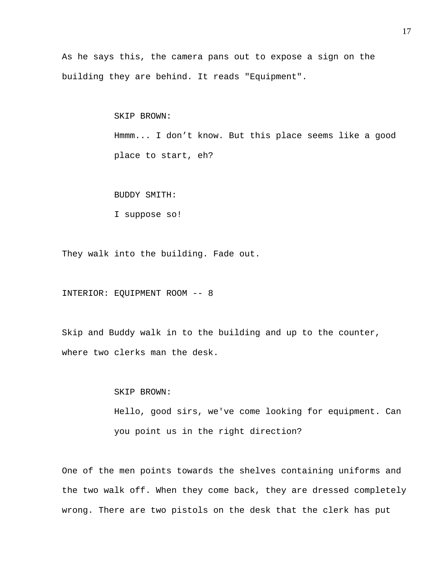As he says this, the camera pans out to expose a sign on the building they are behind. It reads "Equipment".

> SKIP BROWN: Hmmm... I don't know. But this place seems like a good place to start, eh?

BUDDY SMITH:

I suppose so!

They walk into the building. Fade out.

INTERIOR: EQUIPMENT ROOM -- 8

Skip and Buddy walk in to the building and up to the counter, where two clerks man the desk.

SKIP BROWN:

Hello, good sirs, we've come looking for equipment. Can you point us in the right direction?

One of the men points towards the shelves containing uniforms and the two walk off. When they come back, they are dressed completely wrong. There are two pistols on the desk that the clerk has put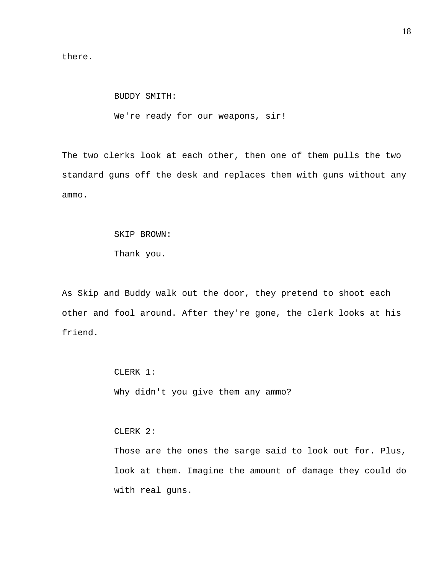there.

 BUDDY SMITH: We're ready for our weapons, sir!

The two clerks look at each other, then one of them pulls the two standard guns off the desk and replaces them with guns without any ammo.

# SKIP BROWN:

Thank you.

As Skip and Buddy walk out the door, they pretend to shoot each other and fool around. After they're gone, the clerk looks at his friend.

> CLERK 1: Why didn't you give them any ammo?

CLERK 2:

Those are the ones the sarge said to look out for. Plus, look at them. Imagine the amount of damage they could do with real guns.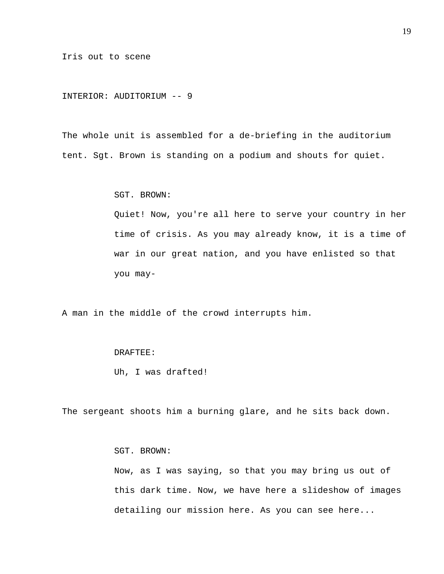Iris out to scene

INTERIOR: AUDITORIUM -- 9

The whole unit is assembled for a de-briefing in the auditorium tent. Sgt. Brown is standing on a podium and shouts for quiet.

SGT. BROWN:

Quiet! Now, you're all here to serve your country in her time of crisis. As you may already know, it is a time of war in our great nation, and you have enlisted so that you may-

A man in the middle of the crowd interrupts him.

#### DRAFTEE:

Uh, I was drafted!

The sergeant shoots him a burning glare, and he sits back down.

SGT. BROWN:

Now, as I was saying, so that you may bring us out of this dark time. Now, we have here a slideshow of images detailing our mission here. As you can see here...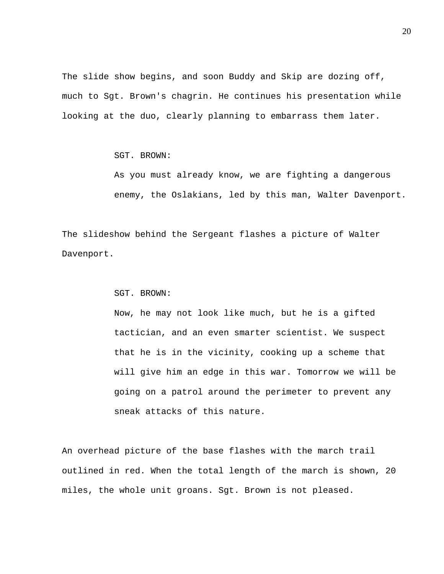The slide show begins, and soon Buddy and Skip are dozing off, much to Sgt. Brown's chagrin. He continues his presentation while looking at the duo, clearly planning to embarrass them later.

SGT. BROWN:

As you must already know, we are fighting a dangerous enemy, the Oslakians, led by this man, Walter Davenport.

The slideshow behind the Sergeant flashes a picture of Walter Davenport.

SGT. BROWN:

Now, he may not look like much, but he is a gifted tactician, and an even smarter scientist. We suspect that he is in the vicinity, cooking up a scheme that will give him an edge in this war. Tomorrow we will be going on a patrol around the perimeter to prevent any sneak attacks of this nature.

An overhead picture of the base flashes with the march trail outlined in red. When the total length of the march is shown, 20 miles, the whole unit groans. Sgt. Brown is not pleased.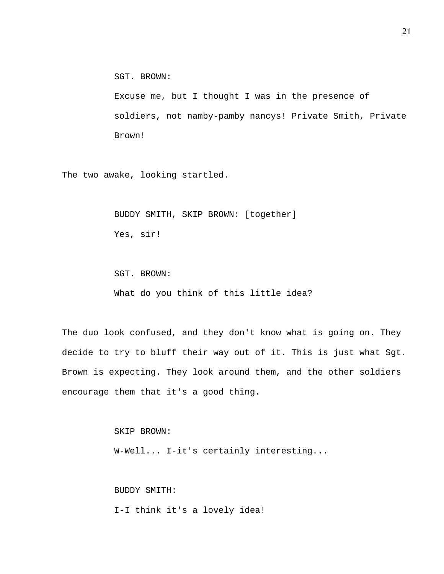SGT. BROWN:

Excuse me, but I thought I was in the presence of soldiers, not namby-pamby nancys! Private Smith, Private Brown!

The two awake, looking startled.

BUDDY SMITH, SKIP BROWN: [together]

Yes, sir!

SGT. BROWN:

What do you think of this little idea?

The duo look confused, and they don't know what is going on. They decide to try to bluff their way out of it. This is just what Sgt. Brown is expecting. They look around them, and the other soldiers encourage them that it's a good thing.

SKIP BROWN:

W-Well... I-it's certainly interesting...

BUDDY SMITH:

I-I think it's a lovely idea!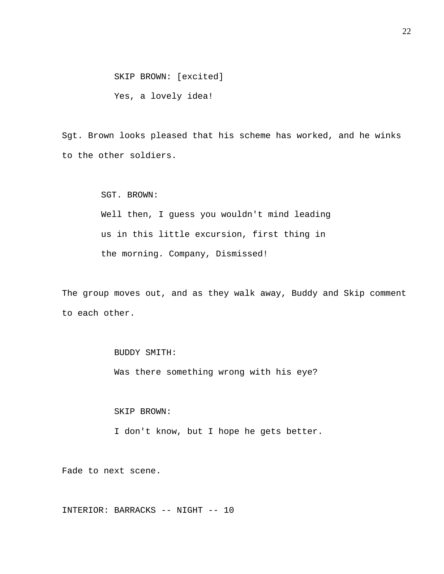SKIP BROWN: [excited]

Yes, a lovely idea!

Sgt. Brown looks pleased that his scheme has worked, and he winks to the other soldiers.

SGT. BROWN:

Well then, I guess you wouldn't mind leading us in this little excursion, first thing in the morning. Company, Dismissed!

The group moves out, and as they walk away, Buddy and Skip comment to each other.

BUDDY SMITH:

Was there something wrong with his eye?

SKIP BROWN:

I don't know, but I hope he gets better.

Fade to next scene.

INTERIOR: BARRACKS -- NIGHT -- 10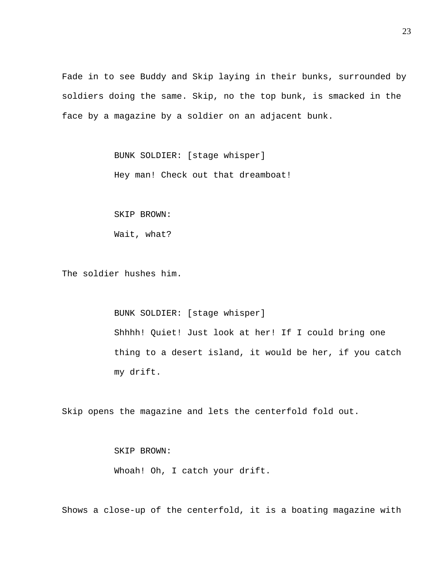Fade in to see Buddy and Skip laying in their bunks, surrounded by soldiers doing the same. Skip, no the top bunk, is smacked in the face by a magazine by a soldier on an adjacent bunk.

> BUNK SOLDIER: [stage whisper] Hey man! Check out that dreamboat!

SKIP BROWN:

Wait, what?

The soldier hushes him.

 BUNK SOLDIER: [stage whisper] Shhhh! Quiet! Just look at her! If I could bring one thing to a desert island, it would be her, if you catch my drift.

Skip opens the magazine and lets the centerfold fold out.

SKIP BROWN:

Whoah! Oh, I catch your drift.

Shows a close-up of the centerfold, it is a boating magazine with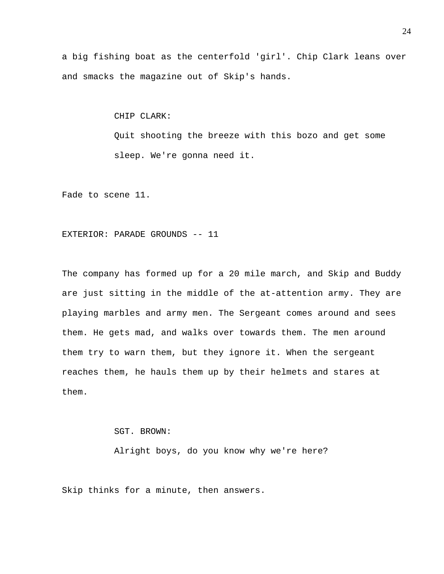a big fishing boat as the centerfold 'girl'. Chip Clark leans over and smacks the magazine out of Skip's hands.

CHIP CLARK:

Quit shooting the breeze with this bozo and get some sleep. We're gonna need it.

Fade to scene 11.

#### EXTERIOR: PARADE GROUNDS -- 11

The company has formed up for a 20 mile march, and Skip and Buddy are just sitting in the middle of the at-attention army. They are playing marbles and army men. The Sergeant comes around and sees them. He gets mad, and walks over towards them. The men around them try to warn them, but they ignore it. When the sergeant reaches them, he hauls them up by their helmets and stares at them.

SGT. BROWN:

Alright boys, do you know why we're here?

Skip thinks for a minute, then answers.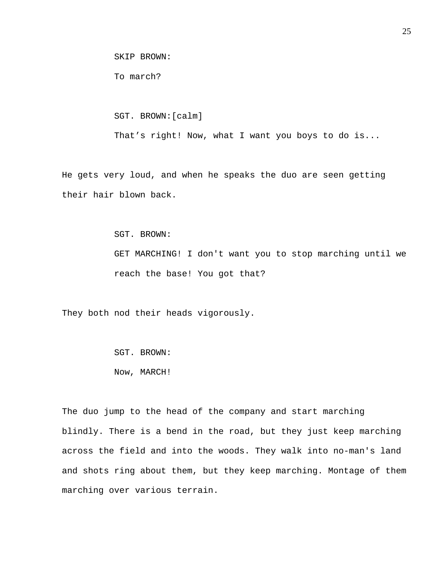SKIP BROWN:

To march?

SGT. BROWN:[calm]

That's right! Now, what I want you boys to do is...

He gets very loud, and when he speaks the duo are seen getting their hair blown back.

SGT. BROWN:

GET MARCHING! I don't want you to stop marching until we reach the base! You got that?

They both nod their heads vigorously.

 SGT. BROWN: Now, MARCH!

The duo jump to the head of the company and start marching blindly. There is a bend in the road, but they just keep marching across the field and into the woods. They walk into no-man's land and shots ring about them, but they keep marching. Montage of them marching over various terrain.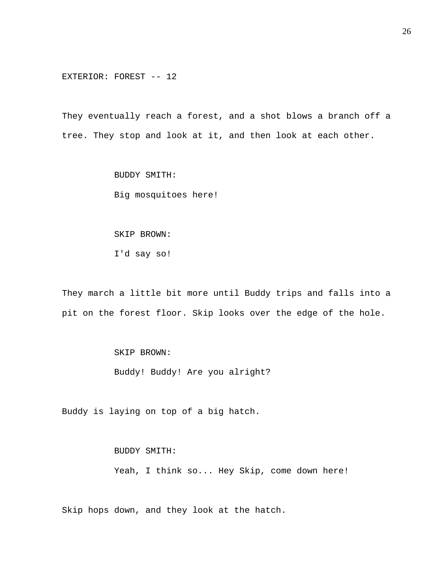EXTERIOR: FOREST -- 12

They eventually reach a forest, and a shot blows a branch off a tree. They stop and look at it, and then look at each other.

> BUDDY SMITH: Big mosquitoes here!

SKIP BROWN:

I'd say so!

They march a little bit more until Buddy trips and falls into a pit on the forest floor. Skip looks over the edge of the hole.

SKIP BROWN:

Buddy! Buddy! Are you alright?

Buddy is laying on top of a big hatch.

 BUDDY SMITH: Yeah, I think so... Hey Skip, come down here!

Skip hops down, and they look at the hatch.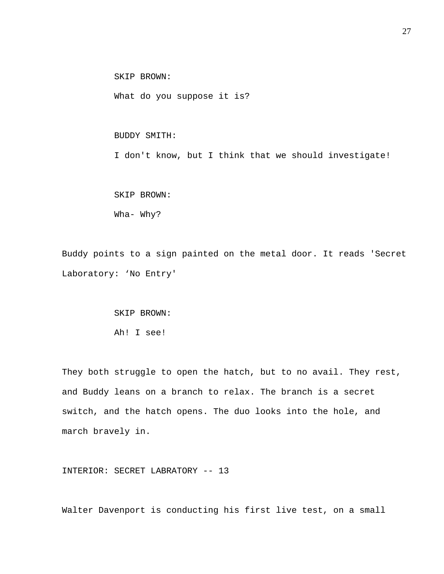SKIP BROWN:

What do you suppose it is?

BUDDY SMITH:

I don't know, but I think that we should investigate!

 SKIP BROWN: Wha- Why?

Buddy points to a sign painted on the metal door. It reads 'Secret Laboratory: 'No Entry'

> SKIP BROWN: Ah! I see!

They both struggle to open the hatch, but to no avail. They rest, and Buddy leans on a branch to relax. The branch is a secret switch, and the hatch opens. The duo looks into the hole, and march bravely in.

INTERIOR: SECRET LABRATORY -- 13

Walter Davenport is conducting his first live test, on a small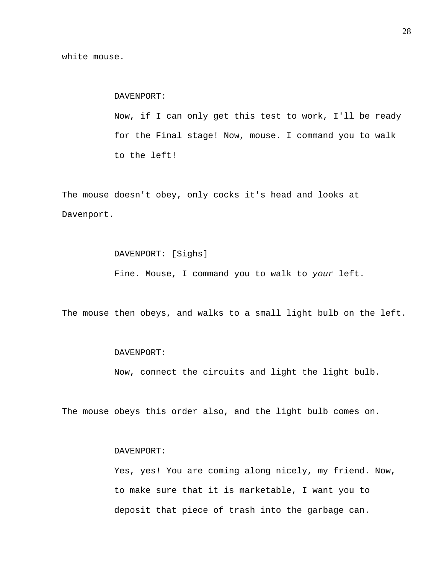DAVENPORT: Now, if I can only get this test to work, I'll be ready for the Final stage! Now, mouse. I command you to walk to the left!

The mouse doesn't obey, only cocks it's head and looks at Davenport.

> DAVENPORT: [Sighs] Fine. Mouse, I command you to walk to *your* left.

The mouse then obeys, and walks to a small light bulb on the left.

#### DAVENPORT:

Now, connect the circuits and light the light bulb.

The mouse obeys this order also, and the light bulb comes on.

#### DAVENPORT:

 Yes, yes! You are coming along nicely, my friend. Now, to make sure that it is marketable, I want you to deposit that piece of trash into the garbage can.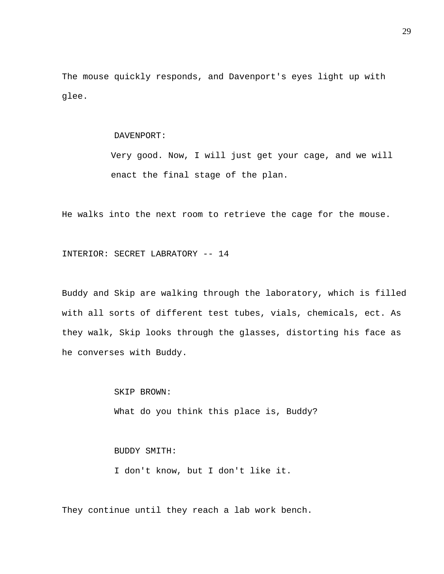The mouse quickly responds, and Davenport's eyes light up with glee.

#### DAVENPORT:

Very good. Now, I will just get your cage, and we will enact the final stage of the plan.

He walks into the next room to retrieve the cage for the mouse.

INTERIOR: SECRET LABRATORY -- 14

Buddy and Skip are walking through the laboratory, which is filled with all sorts of different test tubes, vials, chemicals, ect. As they walk, Skip looks through the glasses, distorting his face as he converses with Buddy.

> SKIP BROWN: What do you think this place is, Buddy?

 BUDDY SMITH: I don't know, but I don't like it.

They continue until they reach a lab work bench.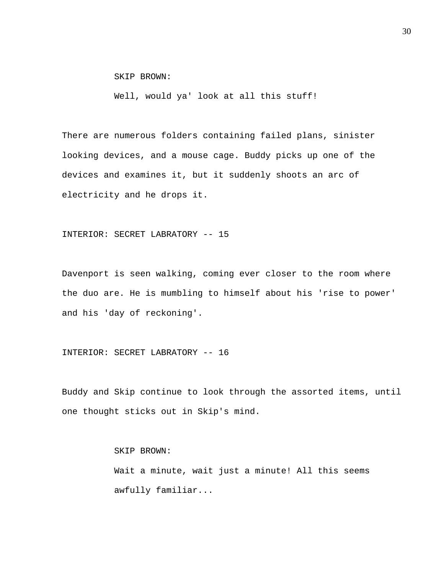SKIP BROWN:

Well, would ya' look at all this stuff!

There are numerous folders containing failed plans, sinister looking devices, and a mouse cage. Buddy picks up one of the devices and examines it, but it suddenly shoots an arc of electricity and he drops it.

#### INTERIOR: SECRET LABRATORY -- 15

Davenport is seen walking, coming ever closer to the room where the duo are. He is mumbling to himself about his 'rise to power' and his 'day of reckoning'.

## INTERIOR: SECRET LABRATORY -- 16

Buddy and Skip continue to look through the assorted items, until one thought sticks out in Skip's mind.

> SKIP BROWN: Wait a minute, wait just a minute! All this seems awfully familiar...

30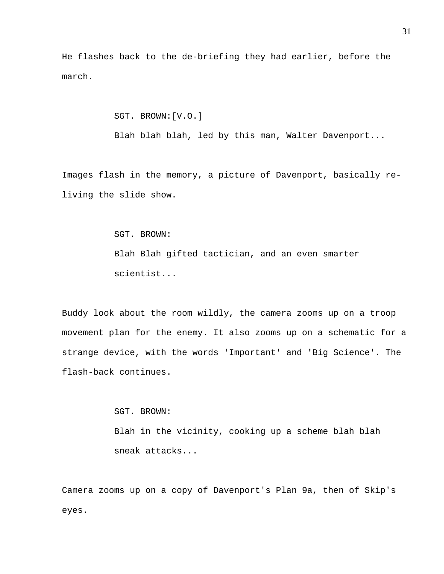He flashes back to the de-briefing they had earlier, before the march.

SGT. BROWN:[V.O.]

Blah blah blah, led by this man, Walter Davenport...

Images flash in the memory, a picture of Davenport, basically reliving the slide show.

SGT. BROWN:

Blah Blah gifted tactician, and an even smarter scientist...

Buddy look about the room wildly, the camera zooms up on a troop movement plan for the enemy. It also zooms up on a schematic for a strange device, with the words 'Important' and 'Big Science'. The flash-back continues.

> SGT. BROWN: Blah in the vicinity, cooking up a scheme blah blah sneak attacks...

Camera zooms up on a copy of Davenport's Plan 9a, then of Skip's eyes.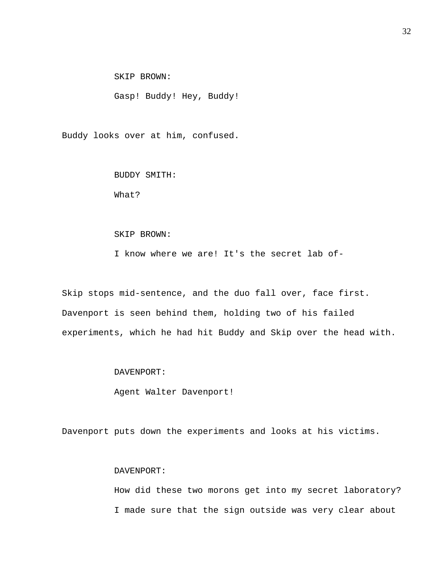SKIP BROWN:

Gasp! Buddy! Hey, Buddy!

Buddy looks over at him, confused.

 BUDDY SMITH: What?

#### SKIP BROWN:

I know where we are! It's the secret lab of-

Skip stops mid-sentence, and the duo fall over, face first. Davenport is seen behind them, holding two of his failed experiments, which he had hit Buddy and Skip over the head with.

# DAVENPORT:

Agent Walter Davenport!

Davenport puts down the experiments and looks at his victims.

# DAVENPORT:

How did these two morons get into my secret laboratory? I made sure that the sign outside was very clear about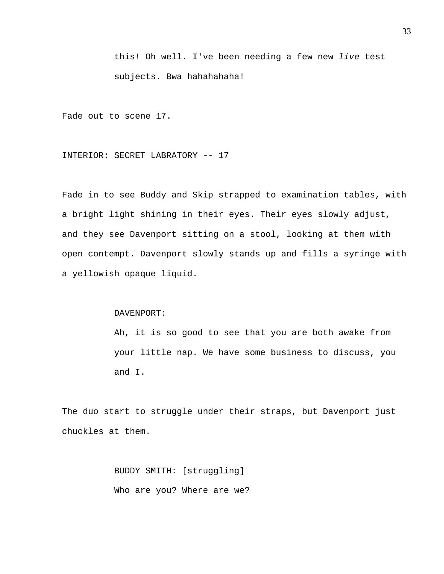this! Oh well. I've been needing a few new *live* test subjects. Bwa hahahahaha!

Fade out to scene 17.

INTERIOR: SECRET LABRATORY -- 17

Fade in to see Buddy and Skip strapped to examination tables, with a bright light shining in their eyes. Their eyes slowly adjust, and they see Davenport sitting on a stool, looking at them with open contempt. Davenport slowly stands up and fills a syringe with a yellowish opaque liquid.

DAVENPORT:

Ah, it is so good to see that you are both awake from your little nap. We have some business to discuss, you and I.

The duo start to struggle under their straps, but Davenport just chuckles at them.

> BUDDY SMITH: [struggling] Who are you? Where are we?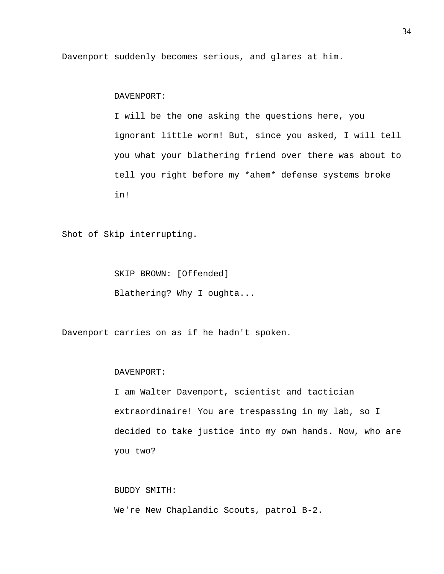Davenport suddenly becomes serious, and glares at him.

DAVENPORT:

I will be the one asking the questions here, you ignorant little worm! But, since you asked, I will tell you what your blathering friend over there was about to tell you right before my \*ahem\* defense systems broke in!

Shot of Skip interrupting.

 SKIP BROWN: [Offended] Blathering? Why I oughta...

Davenport carries on as if he hadn't spoken.

#### DAVENPORT:

I am Walter Davenport, scientist and tactician extraordinaire! You are trespassing in my lab, so I decided to take justice into my own hands. Now, who are you two?

 BUDDY SMITH: We're New Chaplandic Scouts, patrol B-2.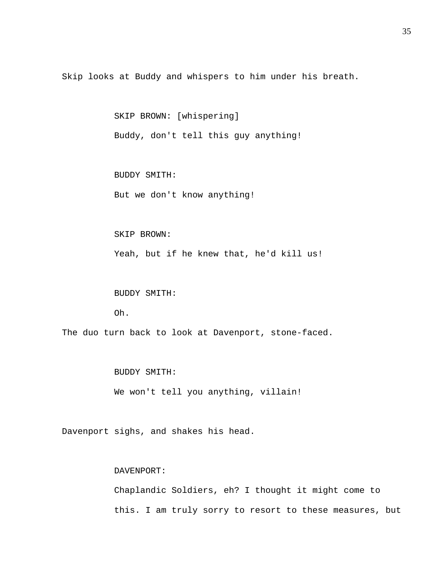Skip looks at Buddy and whispers to him under his breath.

SKIP BROWN: [whispering]

Buddy, don't tell this guy anything!

BUDDY SMITH:

But we don't know anything!

#### SKIP BROWN:

Yeah, but if he knew that, he'd kill us!

BUDDY SMITH:

Oh.

The duo turn back to look at Davenport, stone-faced.

BUDDY SMITH:

We won't tell you anything, villain!

Davenport sighs, and shakes his head.

# DAVENPORT:

Chaplandic Soldiers, eh? I thought it might come to this. I am truly sorry to resort to these measures, but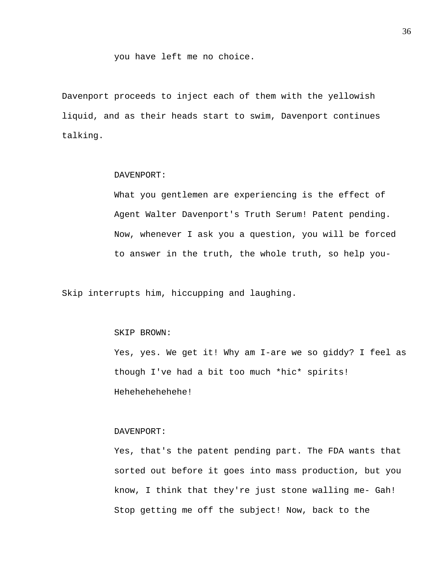you have left me no choice.

Davenport proceeds to inject each of them with the yellowish liquid, and as their heads start to swim, Davenport continues talking.

# DAVENPORT:

What you gentlemen are experiencing is the effect of Agent Walter Davenport's Truth Serum! Patent pending. Now, whenever I ask you a question, you will be forced to answer in the truth, the whole truth, so help you-

Skip interrupts him, hiccupping and laughing.

## SKIP BROWN:

Yes, yes. We get it! Why am I-are we so giddy? I feel as though I've had a bit too much \*hic\* spirits! Hehehehehehehe!

## DAVENPORT:

Yes, that's the patent pending part. The FDA wants that sorted out before it goes into mass production, but you know, I think that they're just stone walling me- Gah! Stop getting me off the subject! Now, back to the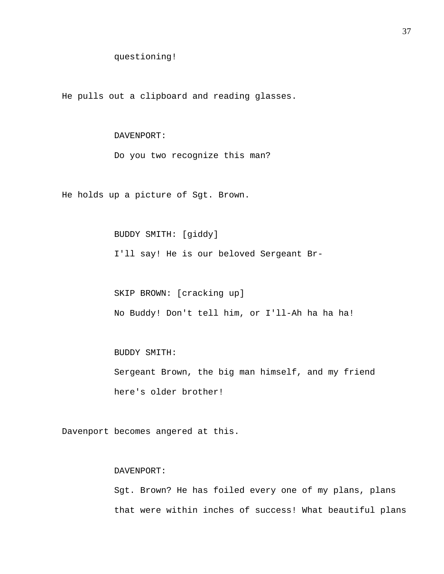He pulls out a clipboard and reading glasses.

## DAVENPORT:

Do you two recognize this man?

He holds up a picture of Sgt. Brown.

## BUDDY SMITH: [giddy]

I'll say! He is our beloved Sergeant Br-

 SKIP BROWN: [cracking up] No Buddy! Don't tell him, or I'll-Ah ha ha ha!

# BUDDY SMITH:

Sergeant Brown, the big man himself, and my friend here's older brother!

Davenport becomes angered at this.

# DAVENPORT:

Sgt. Brown? He has foiled every one of my plans, plans that were within inches of success! What beautiful plans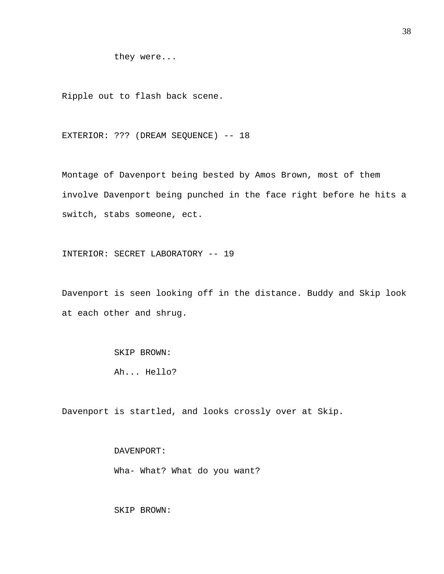they were...

Ripple out to flash back scene.

EXTERIOR: ??? (DREAM SEQUENCE) -- 18

Montage of Davenport being bested by Amos Brown, most of them involve Davenport being punched in the face right before he hits a switch, stabs someone, ect.

INTERIOR: SECRET LABORATORY -- 19

Davenport is seen looking off in the distance. Buddy and Skip look at each other and shrug.

> SKIP BROWN: Ah... Hello?

Davenport is startled, and looks crossly over at Skip.

 DAVENPORT: Wha- What? What do you want?

SKIP BROWN: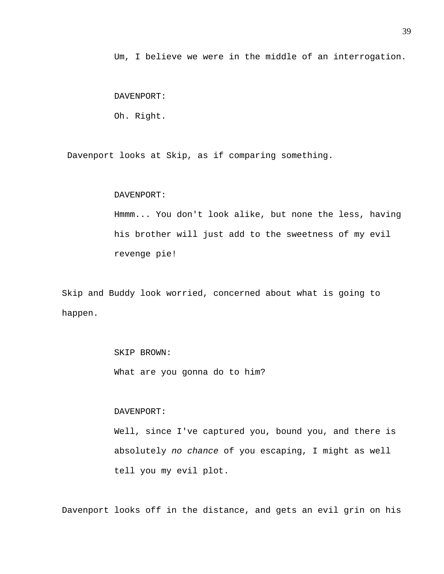Um, I believe we were in the middle of an interrogation.

DAVENPORT:

Oh. Right.

Davenport looks at Skip, as if comparing something.

#### DAVENPORT:

Hmmm... You don't look alike, but none the less, having his brother will just add to the sweetness of my evil revenge pie!

Skip and Buddy look worried, concerned about what is going to happen.

> SKIP BROWN: What are you gonna do to him?

#### DAVENPORT:

Well, since I've captured you, bound you, and there is absolutely *no chance* of you escaping, I might as well tell you my evil plot.

Davenport looks off in the distance, and gets an evil grin on his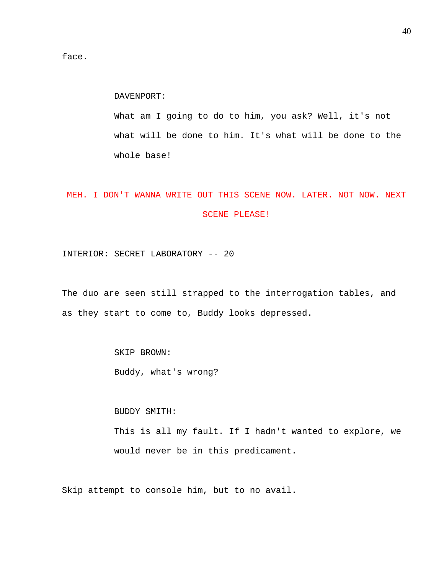face.

DAVENPORT:

What am I going to do to him, you ask? Well, it's not what will be done to him. It's what will be done to the whole base!

# MEH. I DON'T WANNA WRITE OUT THIS SCENE NOW. LATER. NOT NOW. NEXT SCENE PLEASE!

INTERIOR: SECRET LABORATORY -- 20

The duo are seen still strapped to the interrogation tables, and as they start to come to, Buddy looks depressed.

SKIP BROWN:

Buddy, what's wrong?

BUDDY SMITH:

This is all my fault. If I hadn't wanted to explore, we would never be in this predicament.

Skip attempt to console him, but to no avail.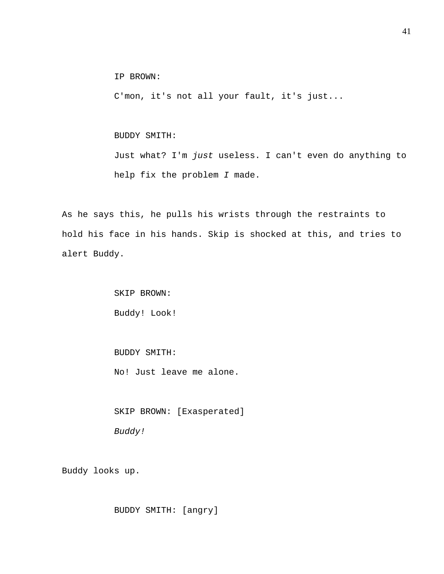IP BROWN:

C'mon, it's not all your fault, it's just...

## BUDDY SMITH:

Just what? I'm *just* useless. I can't even do anything to help fix the problem *I* made.

As he says this, he pulls his wrists through the restraints to hold his face in his hands. Skip is shocked at this, and tries to alert Buddy.

> SKIP BROWN: Buddy! Look!

BUDDY SMITH:

No! Just leave me alone.

 SKIP BROWN: [Exasperated] *Buddy!* 

Buddy looks up.

BUDDY SMITH: [angry]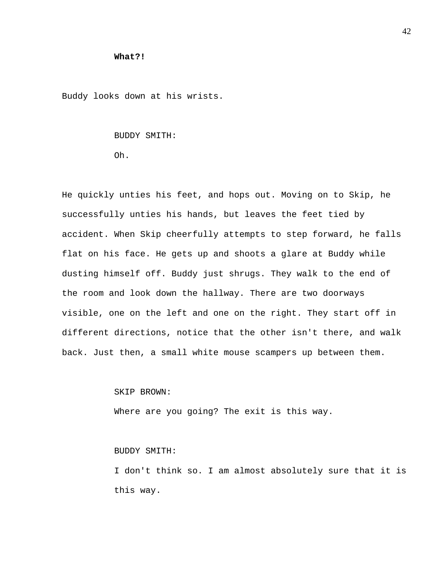## **What?!**

Buddy looks down at his wrists.

### BUDDY SMITH:

Oh.

He quickly unties his feet, and hops out. Moving on to Skip, he successfully unties his hands, but leaves the feet tied by accident. When Skip cheerfully attempts to step forward, he falls flat on his face. He gets up and shoots a glare at Buddy while dusting himself off. Buddy just shrugs. They walk to the end of the room and look down the hallway. There are two doorways visible, one on the left and one on the right. They start off in different directions, notice that the other isn't there, and walk back. Just then, a small white mouse scampers up between them.

#### SKIP BROWN:

Where are you going? The exit is this way.

## BUDDY SMITH:

I don't think so. I am almost absolutely sure that it is this way.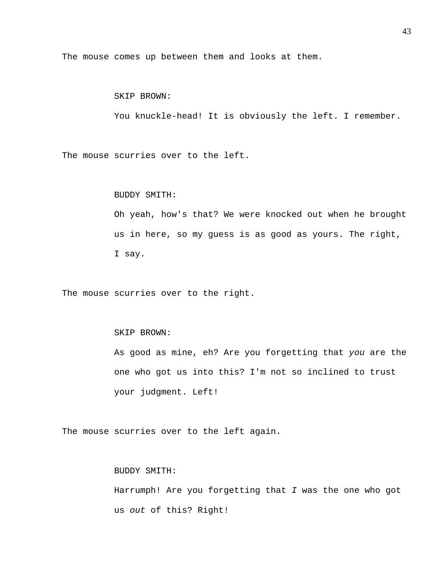The mouse comes up between them and looks at them.

# SKIP BROWN:

You knuckle-head! It is obviously the left. I remember.

The mouse scurries over to the left.

#### BUDDY SMITH:

Oh yeah, how's that? We were knocked out when he brought us in here, so my guess is as good as yours. The right, I say.

The mouse scurries over to the right.

## SKIP BROWN:

As good as mine, eh? Are you forgetting that *you* are the one who got us into this? I'm not so inclined to trust your judgment. Left!

The mouse scurries over to the left again.

# BUDDY SMITH:

Harrumph! Are you forgetting that *I* was the one who got us *out* of this? Right!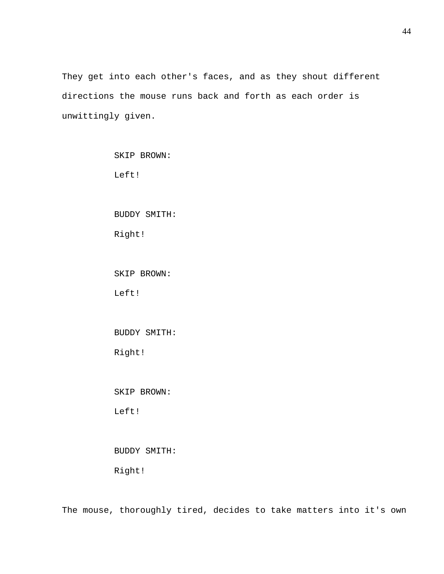They get into each other's faces, and as they shout different directions the mouse runs back and forth as each order is unwittingly given.

| SKIP BROWN:         |
|---------------------|
| Left!               |
|                     |
| <b>BUDDY SMITH:</b> |
| Right!              |
|                     |
| SKIP BROWN:         |
| Left!               |
|                     |
| <b>BUDDY SMITH:</b> |
| Right!              |
|                     |
| SKIP BROWN:         |
| Left!               |
|                     |
|                     |

# BUDDY SMITH:

Right!

The mouse, thoroughly tired, decides to take matters into it's own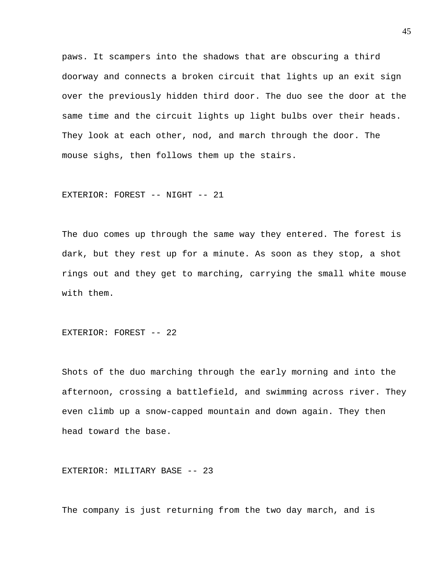paws. It scampers into the shadows that are obscuring a third doorway and connects a broken circuit that lights up an exit sign over the previously hidden third door. The duo see the door at the same time and the circuit lights up light bulbs over their heads. They look at each other, nod, and march through the door. The mouse sighs, then follows them up the stairs.

EXTERIOR: FOREST -- NIGHT -- 21

The duo comes up through the same way they entered. The forest is dark, but they rest up for a minute. As soon as they stop, a shot rings out and they get to marching, carrying the small white mouse with them.

EXTERIOR: FOREST -- 22

Shots of the duo marching through the early morning and into the afternoon, crossing a battlefield, and swimming across river. They even climb up a snow-capped mountain and down again. They then head toward the base.

EXTERIOR: MILITARY BASE -- 23

The company is just returning from the two day march, and is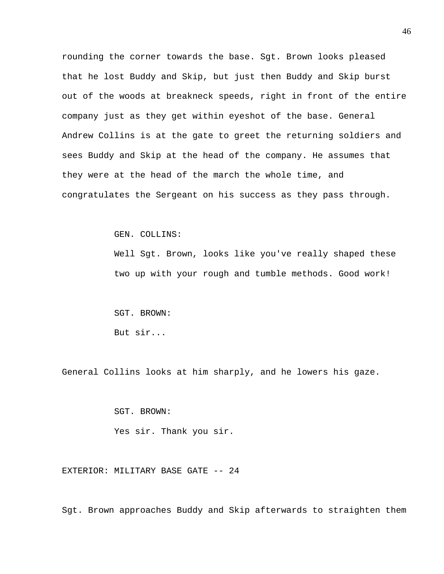rounding the corner towards the base. Sgt. Brown looks pleased that he lost Buddy and Skip, but just then Buddy and Skip burst out of the woods at breakneck speeds, right in front of the entire company just as they get within eyeshot of the base. General Andrew Collins is at the gate to greet the returning soldiers and sees Buddy and Skip at the head of the company. He assumes that they were at the head of the march the whole time, and congratulates the Sergeant on his success as they pass through.

GEN. COLLINS:

Well Sgt. Brown, looks like you've really shaped these two up with your rough and tumble methods. Good work!

 SGT. BROWN: But sir...

General Collins looks at him sharply, and he lowers his gaze.

SGT. BROWN:

Yes sir. Thank you sir.

EXTERIOR: MILITARY BASE GATE -- 24

Sgt. Brown approaches Buddy and Skip afterwards to straighten them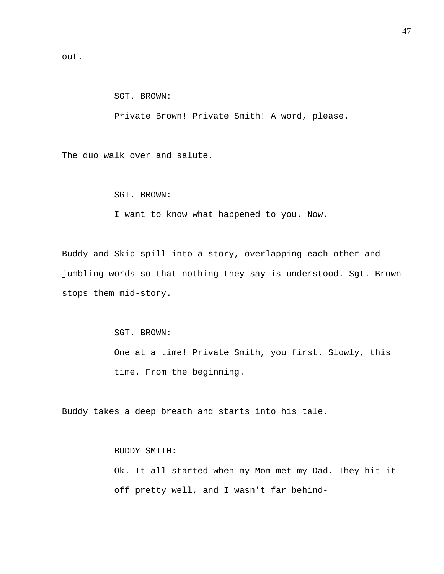out.

# SGT. BROWN:

Private Brown! Private Smith! A word, please.

The duo walk over and salute.

SGT. BROWN:

I want to know what happened to you. Now.

Buddy and Skip spill into a story, overlapping each other and jumbling words so that nothing they say is understood. Sgt. Brown stops them mid-story.

SGT. BROWN:

One at a time! Private Smith, you first. Slowly, this time. From the beginning.

Buddy takes a deep breath and starts into his tale.

# BUDDY SMITH:

Ok. It all started when my Mom met my Dad. They hit it off pretty well, and I wasn't far behind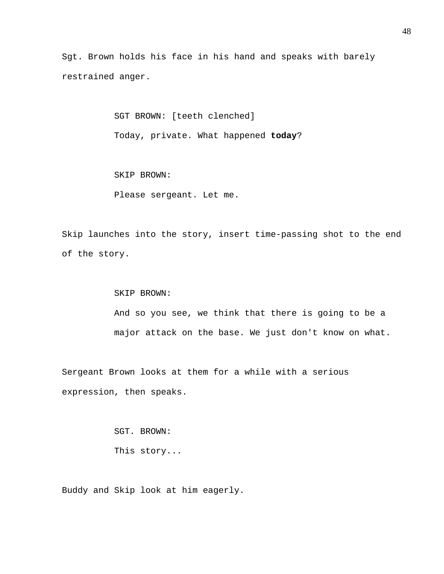Sgt. Brown holds his face in his hand and speaks with barely restrained anger.

> SGT BROWN: [teeth clenched] Today, private. What happened **today**?

SKIP BROWN:

Please sergeant. Let me.

Skip launches into the story, insert time-passing shot to the end of the story.

> SKIP BROWN: And so you see, we think that there is going to be a major attack on the base. We just don't know on what.

Sergeant Brown looks at them for a while with a serious expression, then speaks.

> SGT. BROWN: This story...

Buddy and Skip look at him eagerly.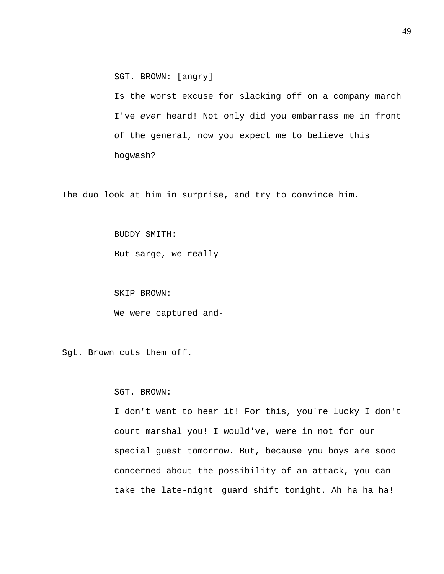SGT. BROWN: [angry]

Is the worst excuse for slacking off on a company march I've *ever* heard! Not only did you embarrass me in front of the general, now you expect me to believe this hogwash?

The duo look at him in surprise, and try to convince him.

BUDDY SMITH:

But sarge, we really-

SKIP BROWN:

We were captured and-

Sgt. Brown cuts them off.

#### SGT. BROWN:

I don't want to hear it! For this, you're lucky I don't court marshal you! I would've, were in not for our special guest tomorrow. But, because you boys are sooo concerned about the possibility of an attack, you can take the late-night guard shift tonight. Ah ha ha ha!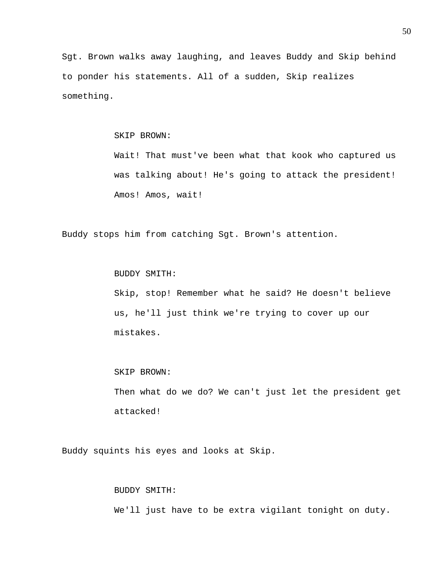Sgt. Brown walks away laughing, and leaves Buddy and Skip behind to ponder his statements. All of a sudden, Skip realizes something.

## SKIP BROWN:

Wait! That must've been what that kook who captured us was talking about! He's going to attack the president! Amos! Amos, wait!

Buddy stops him from catching Sgt. Brown's attention.

BUDDY SMITH:

Skip, stop! Remember what he said? He doesn't believe us, he'll just think we're trying to cover up our mistakes.

#### SKIP BROWN:

Then what do we do? We can't just let the president get attacked!

Buddy squints his eyes and looks at Skip.

#### BUDDY SMITH:

We'll just have to be extra vigilant tonight on duty.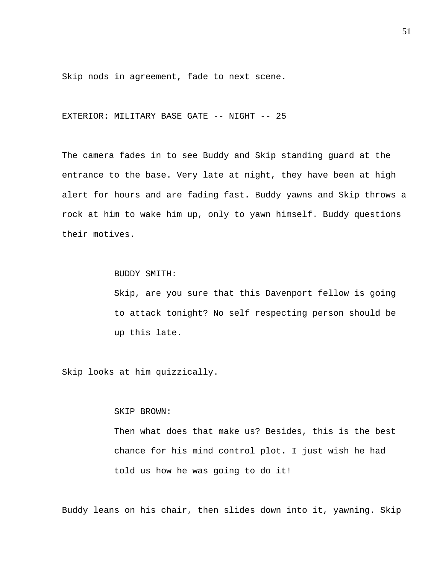Skip nods in agreement, fade to next scene.

EXTERIOR: MILITARY BASE GATE -- NIGHT -- 25

The camera fades in to see Buddy and Skip standing guard at the entrance to the base. Very late at night, they have been at high alert for hours and are fading fast. Buddy yawns and Skip throws a rock at him to wake him up, only to yawn himself. Buddy questions their motives.

BUDDY SMITH:

Skip, are you sure that this Davenport fellow is going to attack tonight? No self respecting person should be up this late.

Skip looks at him quizzically.

#### SKIP BROWN:

Then what does that make us? Besides, this is the best chance for his mind control plot. I just wish he had told us how he was going to do it!

Buddy leans on his chair, then slides down into it, yawning. Skip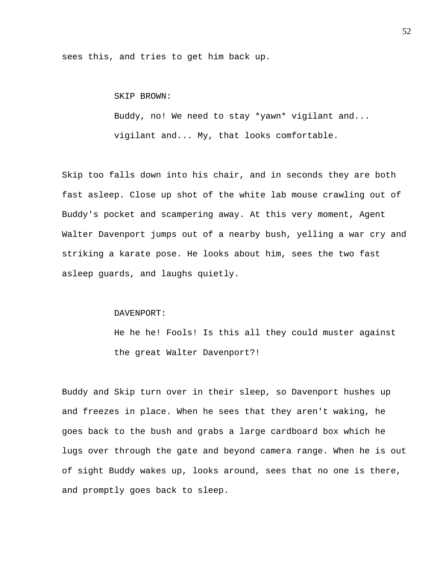sees this, and tries to get him back up.

# SKIP BROWN:

Buddy, no! We need to stay \*yawn\* vigilant and... vigilant and... My, that looks comfortable.

Skip too falls down into his chair, and in seconds they are both fast asleep. Close up shot of the white lab mouse crawling out of Buddy's pocket and scampering away. At this very moment, Agent Walter Davenport jumps out of a nearby bush, yelling a war cry and striking a karate pose. He looks about him, sees the two fast asleep guards, and laughs quietly.

#### DAVENPORT:

He he he! Fools! Is this all they could muster against the great Walter Davenport?!

Buddy and Skip turn over in their sleep, so Davenport hushes up and freezes in place. When he sees that they aren't waking, he goes back to the bush and grabs a large cardboard box which he lugs over through the gate and beyond camera range. When he is out of sight Buddy wakes up, looks around, sees that no one is there, and promptly goes back to sleep.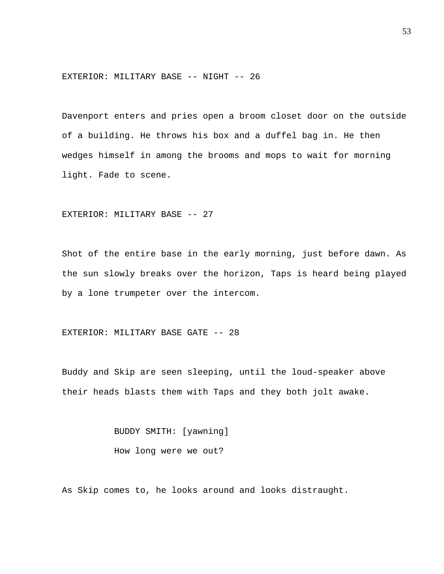EXTERIOR: MILITARY BASE -- NIGHT -- 26

Davenport enters and pries open a broom closet door on the outside of a building. He throws his box and a duffel bag in. He then wedges himself in among the brooms and mops to wait for morning light. Fade to scene.

EXTERIOR: MILITARY BASE -- 27

Shot of the entire base in the early morning, just before dawn. As the sun slowly breaks over the horizon, Taps is heard being played by a lone trumpeter over the intercom.

EXTERIOR: MILITARY BASE GATE -- 28

Buddy and Skip are seen sleeping, until the loud-speaker above their heads blasts them with Taps and they both jolt awake.

> BUDDY SMITH: [yawning] How long were we out?

As Skip comes to, he looks around and looks distraught.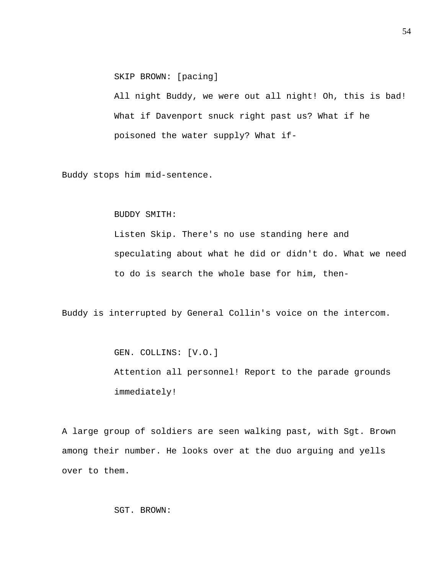SKIP BROWN: [pacing]

All night Buddy, we were out all night! Oh, this is bad! What if Davenport snuck right past us? What if he poisoned the water supply? What if-

Buddy stops him mid-sentence.

# BUDDY SMITH:

Listen Skip. There's no use standing here and speculating about what he did or didn't do. What we need to do is search the whole base for him, then-

Buddy is interrupted by General Collin's voice on the intercom.

 GEN. COLLINS: [V.O.] Attention all personnel! Report to the parade grounds immediately!

A large group of soldiers are seen walking past, with Sgt. Brown among their number. He looks over at the duo arguing and yells over to them.

SGT. BROWN: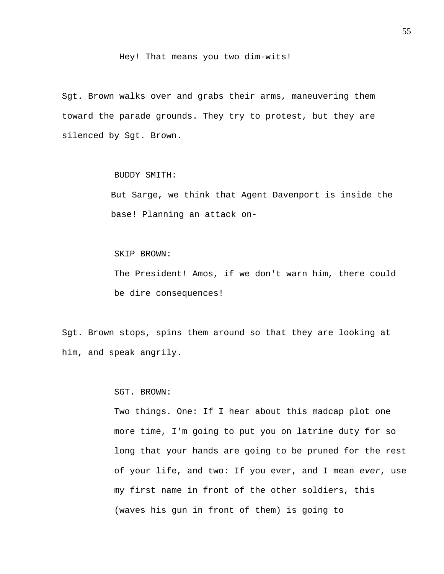Hey! That means you two dim-wits!

Sgt. Brown walks over and grabs their arms, maneuvering them toward the parade grounds. They try to protest, but they are silenced by Sgt. Brown.

BUDDY SMITH:

But Sarge, we think that Agent Davenport is inside the base! Planning an attack on-

SKIP BROWN:

The President! Amos, if we don't warn him, there could be dire consequences!

Sgt. Brown stops, spins them around so that they are looking at him, and speak angrily.

SGT. BROWN:

Two things. One: If I hear about this madcap plot one more time, I'm going to put you on latrine duty for so long that your hands are going to be pruned for the rest of your life, and two: If you ever, and I mean *ever*, use my first name in front of the other soldiers, this (waves his gun in front of them) is going to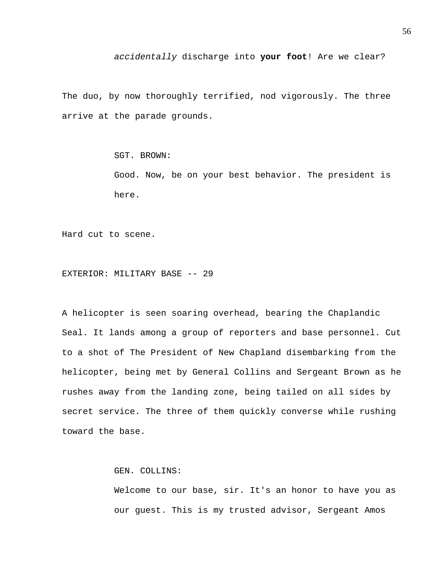# *accidentally* discharge into **your foot**! Are we clear?

The duo, by now thoroughly terrified, nod vigorously. The three arrive at the parade grounds.

SGT. BROWN:

Good. Now, be on your best behavior. The president is here.

Hard cut to scene.

EXTERIOR: MILITARY BASE -- 29

A helicopter is seen soaring overhead, bearing the Chaplandic Seal. It lands among a group of reporters and base personnel. Cut to a shot of The President of New Chapland disembarking from the helicopter, being met by General Collins and Sergeant Brown as he rushes away from the landing zone, being tailed on all sides by secret service. The three of them quickly converse while rushing toward the base.

GEN. COLLINS:

Welcome to our base, sir. It's an honor to have you as our guest. This is my trusted advisor, Sergeant Amos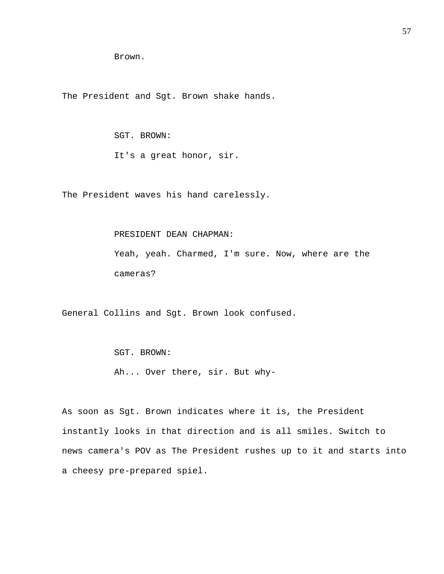Brown.

The President and Sgt. Brown shake hands.

 SGT. BROWN: It's a great honor, sir.

The President waves his hand carelessly.

PRESIDENT DEAN CHAPMAN:

Yeah, yeah. Charmed, I'm sure. Now, where are the cameras?

General Collins and Sgt. Brown look confused.

 SGT. BROWN: Ah... Over there, sir. But why-

As soon as Sgt. Brown indicates where it is, the President instantly looks in that direction and is all smiles. Switch to news camera's POV as The President rushes up to it and starts into a cheesy pre-prepared spiel.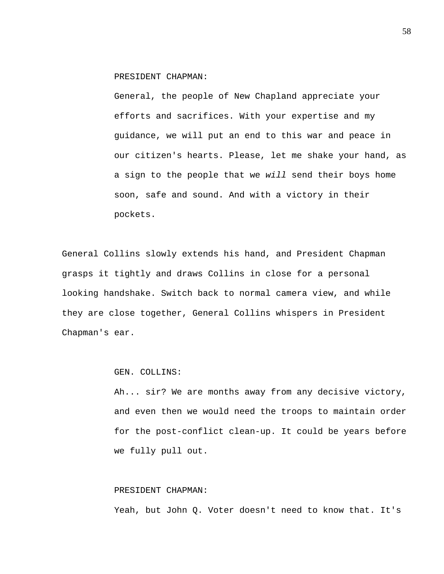PRESIDENT CHAPMAN:

General, the people of New Chapland appreciate your efforts and sacrifices. With your expertise and my guidance, we will put an end to this war and peace in our citizen's hearts. Please, let me shake your hand, as a sign to the people that we *will* send their boys home soon, safe and sound. And with a victory in their pockets.

General Collins slowly extends his hand, and President Chapman grasps it tightly and draws Collins in close for a personal looking handshake. Switch back to normal camera view, and while they are close together, General Collins whispers in President Chapman's ear.

# GEN. COLLINS:

Ah... sir? We are months away from any decisive victory, and even then we would need the troops to maintain order for the post-conflict clean-up. It could be years before we fully pull out.

# PRESIDENT CHAPMAN:

Yeah, but John Q. Voter doesn't need to know that. It's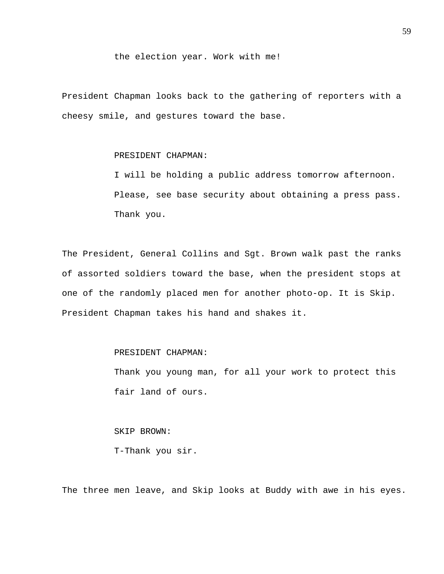### the election year. Work with me!

President Chapman looks back to the gathering of reporters with a cheesy smile, and gestures toward the base.

# PRESIDENT CHAPMAN:

I will be holding a public address tomorrow afternoon. Please, see base security about obtaining a press pass. Thank you.

The President, General Collins and Sgt. Brown walk past the ranks of assorted soldiers toward the base, when the president stops at one of the randomly placed men for another photo-op. It is Skip. President Chapman takes his hand and shakes it.

## PRESIDENT CHAPMAN:

Thank you young man, for all your work to protect this fair land of ours.

 SKIP BROWN: T-Thank you sir.

The three men leave, and Skip looks at Buddy with awe in his eyes.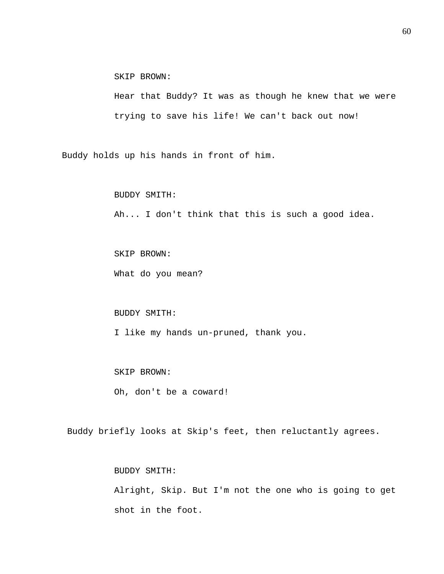SKIP BROWN:

Hear that Buddy? It was as though he knew that we were trying to save his life! We can't back out now!

Buddy holds up his hands in front of him.

 BUDDY SMITH: Ah... I don't think that this is such a good idea.

 SKIP BROWN: What do you mean?

# BUDDY SMITH: I like my hands un-pruned, thank you.

 SKIP BROWN: Oh, don't be a coward!

Buddy briefly looks at Skip's feet, then reluctantly agrees.

BUDDY SMITH:

Alright, Skip. But I'm not the one who is going to get shot in the foot.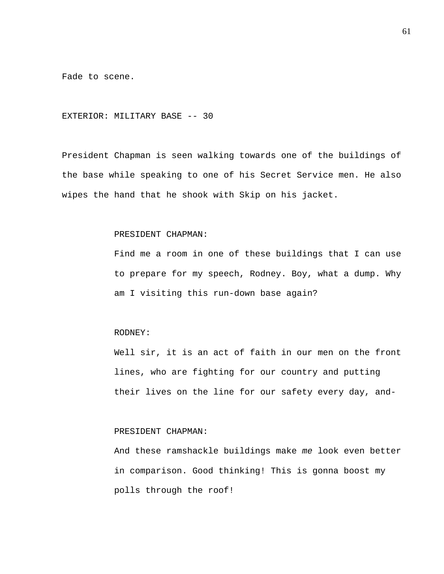Fade to scene.

EXTERIOR: MILITARY BASE -- 30

President Chapman is seen walking towards one of the buildings of the base while speaking to one of his Secret Service men. He also wipes the hand that he shook with Skip on his jacket.

### PRESIDENT CHAPMAN:

Find me a room in one of these buildings that I can use to prepare for my speech, Rodney. Boy, what a dump. Why am I visiting this run-down base again?

# RODNEY:

Well sir, it is an act of faith in our men on the front lines, who are fighting for our country and putting their lives on the line for our safety every day, and-

# PRESIDENT CHAPMAN:

And these ramshackle buildings make *me* look even better in comparison. Good thinking! This is gonna boost my polls through the roof!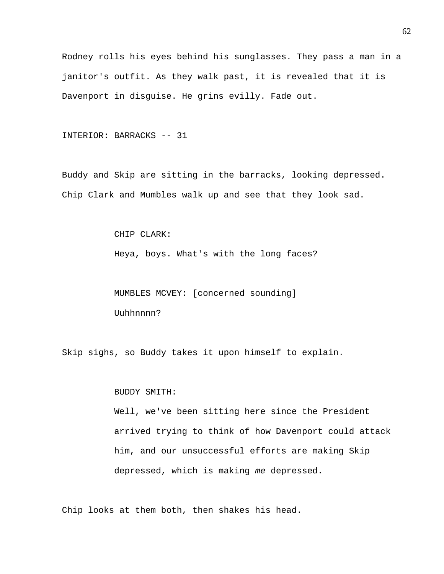Rodney rolls his eyes behind his sunglasses. They pass a man in a janitor's outfit. As they walk past, it is revealed that it is Davenport in disguise. He grins evilly. Fade out.

INTERIOR: BARRACKS -- 31

Buddy and Skip are sitting in the barracks, looking depressed. Chip Clark and Mumbles walk up and see that they look sad.

CHIP CLARK:

Heya, boys. What's with the long faces?

 MUMBLES MCVEY: [concerned sounding] Uuhhnnnn?

Skip sighs, so Buddy takes it upon himself to explain.

BUDDY SMITH:

Well, we've been sitting here since the President arrived trying to think of how Davenport could attack him, and our unsuccessful efforts are making Skip depressed, which is making *me* depressed.

Chip looks at them both, then shakes his head.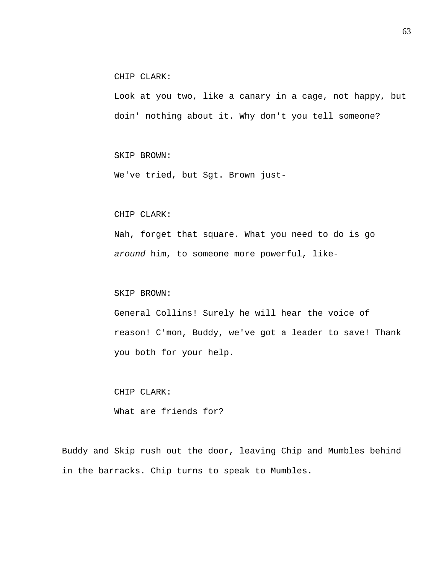CHIP CLARK:

Look at you two, like a canary in a cage, not happy, but doin' nothing about it. Why don't you tell someone?

SKIP BROWN:

We've tried, but Sgt. Brown just-

# CHIP CLARK:

Nah, forget that square. What you need to do is go *around* him, to someone more powerful, like-

## SKIP BROWN:

General Collins! Surely he will hear the voice of reason! C'mon, Buddy, we've got a leader to save! Thank you both for your help.

 CHIP CLARK: What are friends for?

Buddy and Skip rush out the door, leaving Chip and Mumbles behind in the barracks. Chip turns to speak to Mumbles.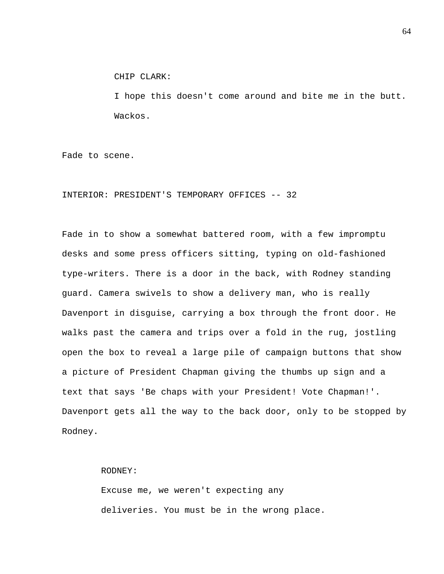CHIP CLARK:

I hope this doesn't come around and bite me in the butt. Wackos.

Fade to scene.

INTERIOR: PRESIDENT'S TEMPORARY OFFICES -- 32

Fade in to show a somewhat battered room, with a few impromptu desks and some press officers sitting, typing on old-fashioned type-writers. There is a door in the back, with Rodney standing guard. Camera swivels to show a delivery man, who is really Davenport in disguise, carrying a box through the front door. He walks past the camera and trips over a fold in the rug, jostling open the box to reveal a large pile of campaign buttons that show a picture of President Chapman giving the thumbs up sign and a text that says 'Be chaps with your President! Vote Chapman!'. Davenport gets all the way to the back door, only to be stopped by Rodney.

## RODNEY:

Excuse me, we weren't expecting any deliveries. You must be in the wrong place.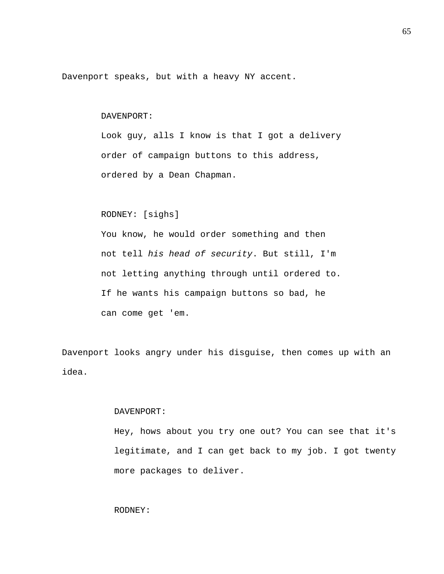Davenport speaks, but with a heavy NY accent.

# DAVENPORT:

Look guy, alls I know is that I got a delivery order of campaign buttons to this address, ordered by a Dean Chapman.

# RODNEY: [sighs]

You know, he would order something and then not tell *his head of security*. But still, I'm not letting anything through until ordered to. If he wants his campaign buttons so bad, he can come get 'em.

Davenport looks angry under his disguise, then comes up with an idea.

## DAVENPORT:

Hey, hows about you try one out? You can see that it's legitimate, and I can get back to my job. I got twenty more packages to deliver.

# RODNEY: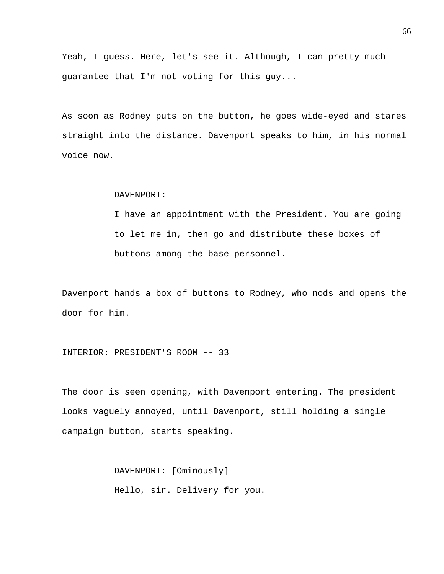Yeah, I guess. Here, let's see it. Although, I can pretty much guarantee that I'm not voting for this guy...

As soon as Rodney puts on the button, he goes wide-eyed and stares straight into the distance. Davenport speaks to him, in his normal voice now.

#### DAVENPORT:

I have an appointment with the President. You are going to let me in, then go and distribute these boxes of buttons among the base personnel.

Davenport hands a box of buttons to Rodney, who nods and opens the door for him.

INTERIOR: PRESIDENT'S ROOM -- 33

The door is seen opening, with Davenport entering. The president looks vaguely annoyed, until Davenport, still holding a single campaign button, starts speaking.

> DAVENPORT: [Ominously] Hello, sir. Delivery for you.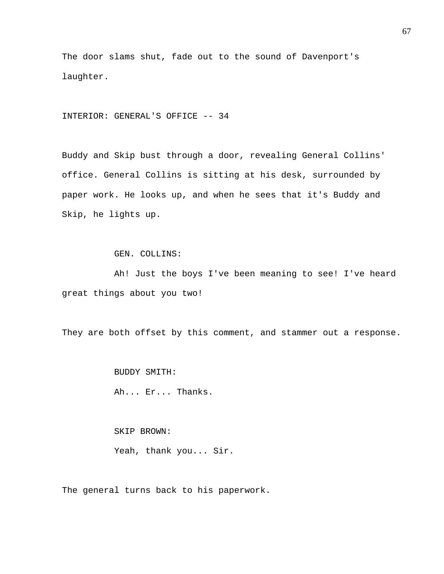The door slams shut, fade out to the sound of Davenport's laughter.

INTERIOR: GENERAL'S OFFICE -- 34

Buddy and Skip bust through a door, revealing General Collins' office. General Collins is sitting at his desk, surrounded by paper work. He looks up, and when he sees that it's Buddy and Skip, he lights up.

GEN. COLLINS:

 Ah! Just the boys I've been meaning to see! I've heard great things about you two!

They are both offset by this comment, and stammer out a response.

 BUDDY SMITH: Ah... Er... Thanks.

 SKIP BROWN: Yeah, thank you... Sir.

The general turns back to his paperwork.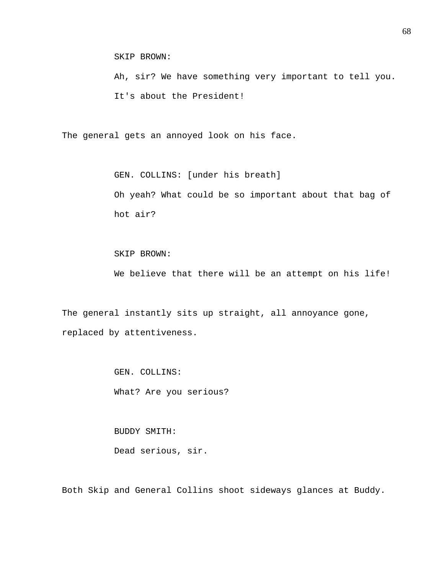SKIP BROWN:

Ah, sir? We have something very important to tell you. It's about the President!

The general gets an annoyed look on his face.

 GEN. COLLINS: [under his breath] Oh yeah? What could be so important about that bag of hot air?

 SKIP BROWN: We believe that there will be an attempt on his life!

The general instantly sits up straight, all annoyance gone, replaced by attentiveness.

> GEN. COLLINS: What? Are you serious?

 BUDDY SMITH: Dead serious, sir.

Both Skip and General Collins shoot sideways glances at Buddy.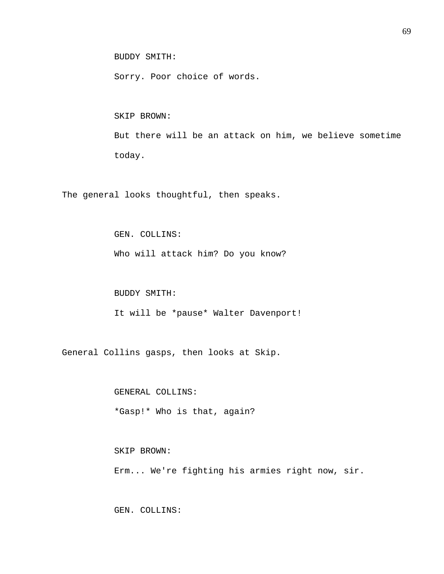BUDDY SMITH:

Sorry. Poor choice of words.

 SKIP BROWN: But there will be an attack on him, we believe sometime today.

The general looks thoughtful, then speaks.

GEN. COLLINS:

Who will attack him? Do you know?

BUDDY SMITH:

It will be \*pause\* Walter Davenport!

General Collins gasps, then looks at Skip.

 GENERAL COLLINS: \*Gasp!\* Who is that, again?

SKIP BROWN:

Erm... We're fighting his armies right now, sir.

GEN. COLLINS: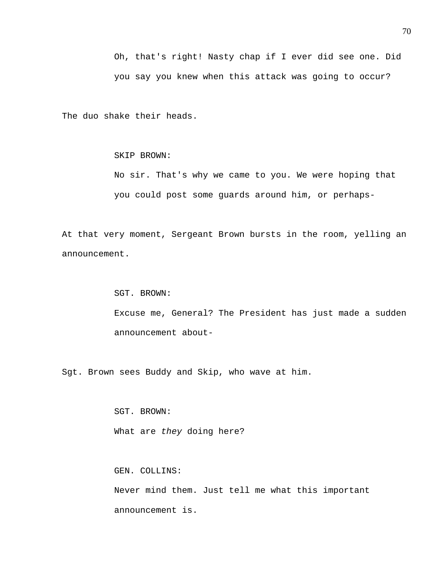The duo shake their heads.

# SKIP BROWN:

No sir. That's why we came to you. We were hoping that you could post some guards around him, or perhaps-

At that very moment, Sergeant Brown bursts in the room, yelling an announcement.

> SGT. BROWN: Excuse me, General? The President has just made a sudden announcement about-

Sgt. Brown sees Buddy and Skip, who wave at him.

 SGT. BROWN: What are *they* doing here?

GEN. COLLINS:

Never mind them. Just tell me what this important announcement is.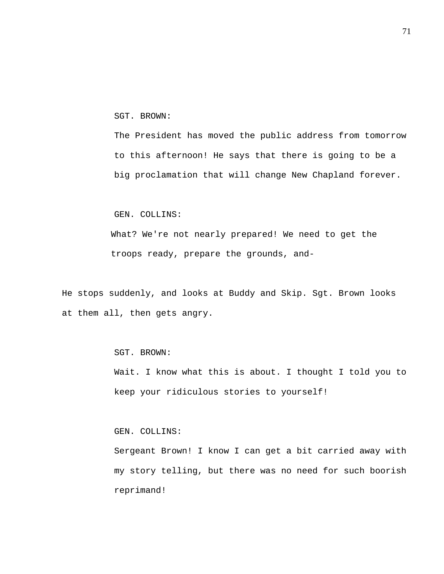SGT. BROWN:

The President has moved the public address from tomorrow to this afternoon! He says that there is going to be a big proclamation that will change New Chapland forever.

# GEN. COLLINS:

What? We're not nearly prepared! We need to get the troops ready, prepare the grounds, and-

He stops suddenly, and looks at Buddy and Skip. Sgt. Brown looks at them all, then gets angry.

# SGT. BROWN:

Wait. I know what this is about. I thought I told you to keep your ridiculous stories to yourself!

# GEN. COLLINS:

Sergeant Brown! I know I can get a bit carried away with my story telling, but there was no need for such boorish reprimand!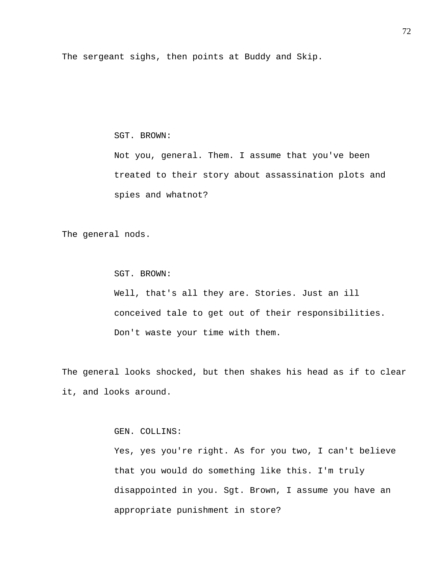The sergeant sighs, then points at Buddy and Skip.

## SGT. BROWN:

Not you, general. Them. I assume that you've been treated to their story about assassination plots and spies and whatnot?

The general nods.

 SGT. BROWN: Well, that's all they are. Stories. Just an ill conceived tale to get out of their responsibilities. Don't waste your time with them.

The general looks shocked, but then shakes his head as if to clear it, and looks around.

GEN. COLLINS:

Yes, yes you're right. As for you two, I can't believe that you would do something like this. I'm truly disappointed in you. Sgt. Brown, I assume you have an appropriate punishment in store?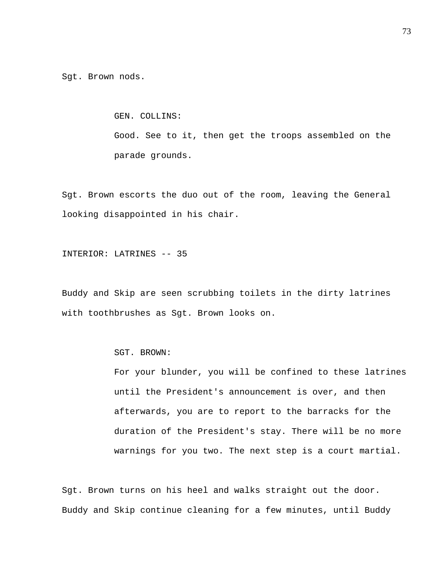Sgt. Brown nods.

GEN. COLLINS:

Good. See to it, then get the troops assembled on the parade grounds.

Sgt. Brown escorts the duo out of the room, leaving the General looking disappointed in his chair.

INTERIOR: LATRINES -- 35

Buddy and Skip are seen scrubbing toilets in the dirty latrines with toothbrushes as Sgt. Brown looks on.

SGT. BROWN:

For your blunder, you will be confined to these latrines until the President's announcement is over, and then afterwards, you are to report to the barracks for the duration of the President's stay. There will be no more warnings for you two. The next step is a court martial.

Sgt. Brown turns on his heel and walks straight out the door. Buddy and Skip continue cleaning for a few minutes, until Buddy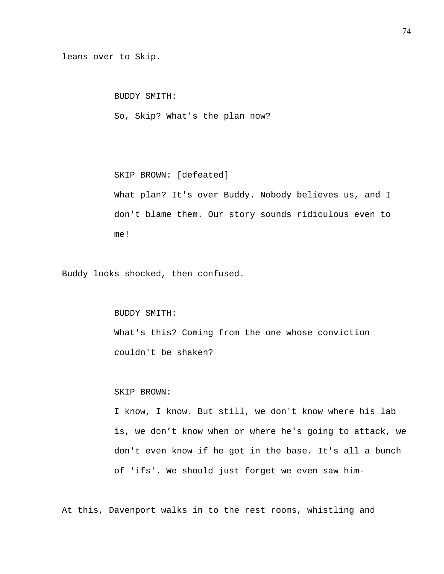leans over to Skip.

BUDDY SMITH:

So, Skip? What's the plan now?

 SKIP BROWN: [defeated] What plan? It's over Buddy. Nobody believes us, and I don't blame them. Our story sounds ridiculous even to me!

Buddy looks shocked, then confused.

 BUDDY SMITH: What's this? Coming from the one whose conviction couldn't be shaken?

#### SKIP BROWN:

I know, I know. But still, we don't know where his lab is, we don't know when or where he's going to attack, we don't even know if he got in the base. It's all a bunch of 'ifs'. We should just forget we even saw him-

At this, Davenport walks in to the rest rooms, whistling and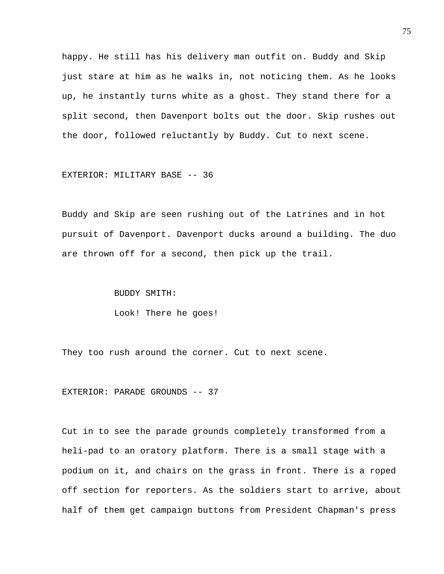happy. He still has his delivery man outfit on. Buddy and Skip just stare at him as he walks in, not noticing them. As he looks up, he instantly turns white as a ghost. They stand there for a split second, then Davenport bolts out the door. Skip rushes out the door, followed reluctantly by Buddy. Cut to next scene.

EXTERIOR: MILITARY BASE -- 36

Buddy and Skip are seen rushing out of the Latrines and in hot pursuit of Davenport. Davenport ducks around a building. The duo are thrown off for a second, then pick up the trail.

BUDDY SMITH:

Look! There he goes!

They too rush around the corner. Cut to next scene.

EXTERIOR: PARADE GROUNDS -- 37

Cut in to see the parade grounds completely transformed from a heli-pad to an oratory platform. There is a small stage with a podium on it, and chairs on the grass in front. There is a roped off section for reporters. As the soldiers start to arrive, about half of them get campaign buttons from President Chapman's press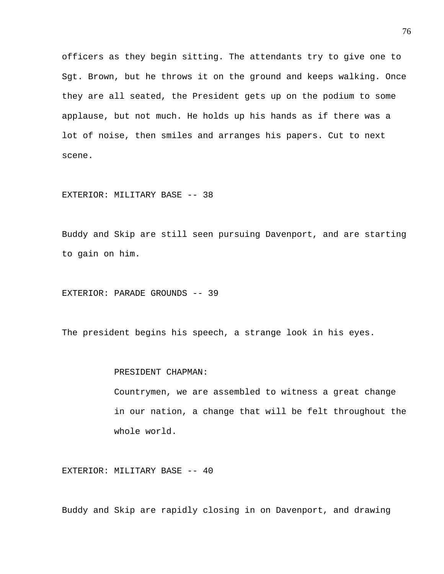officers as they begin sitting. The attendants try to give one to Sgt. Brown, but he throws it on the ground and keeps walking. Once they are all seated, the President gets up on the podium to some applause, but not much. He holds up his hands as if there was a lot of noise, then smiles and arranges his papers. Cut to next scene.

EXTERIOR: MILITARY BASE -- 38

Buddy and Skip are still seen pursuing Davenport, and are starting to gain on him.

EXTERIOR: PARADE GROUNDS -- 39

The president begins his speech, a strange look in his eyes.

# PRESIDENT CHAPMAN:

Countrymen, we are assembled to witness a great change in our nation, a change that will be felt throughout the whole world.

EXTERIOR: MILITARY BASE -- 40

Buddy and Skip are rapidly closing in on Davenport, and drawing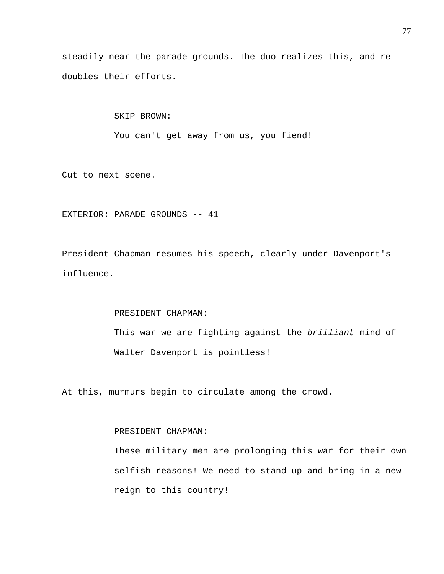steadily near the parade grounds. The duo realizes this, and redoubles their efforts.

> SKIP BROWN: You can't get away from us, you fiend!

Cut to next scene.

EXTERIOR: PARADE GROUNDS -- 41

President Chapman resumes his speech, clearly under Davenport's influence.

## PRESIDENT CHAPMAN:

This war we are fighting against the *brilliant* mind of Walter Davenport is pointless!

At this, murmurs begin to circulate among the crowd.

# PRESIDENT CHAPMAN:

These military men are prolonging this war for their own selfish reasons! We need to stand up and bring in a new reign to this country!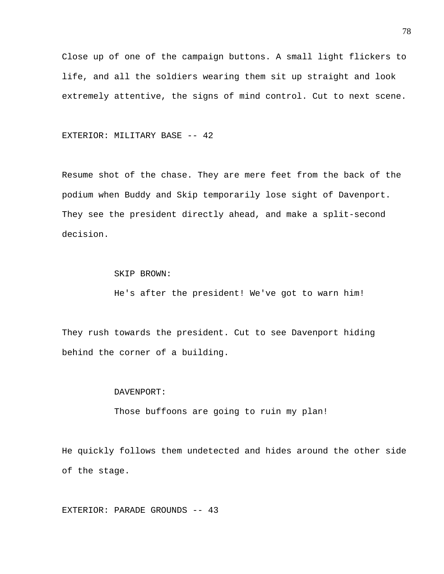Close up of one of the campaign buttons. A small light flickers to life, and all the soldiers wearing them sit up straight and look extremely attentive, the signs of mind control. Cut to next scene.

EXTERIOR: MILITARY BASE -- 42

Resume shot of the chase. They are mere feet from the back of the podium when Buddy and Skip temporarily lose sight of Davenport. They see the president directly ahead, and make a split-second decision.

SKIP BROWN:

He's after the president! We've got to warn him!

They rush towards the president. Cut to see Davenport hiding behind the corner of a building.

### DAVENPORT:

Those buffoons are going to ruin my plan!

He quickly follows them undetected and hides around the other side of the stage.

EXTERIOR: PARADE GROUNDS -- 43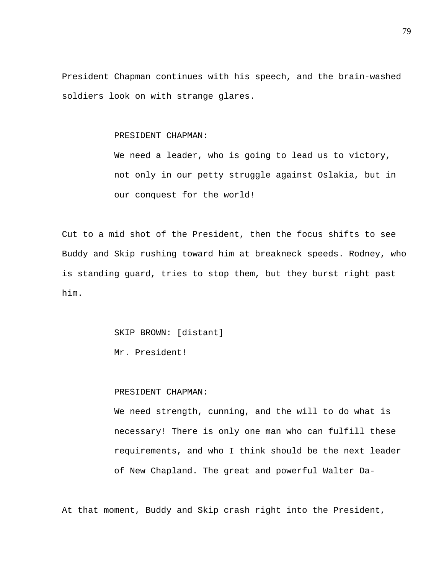President Chapman continues with his speech, and the brain-washed soldiers look on with strange glares.

## PRESIDENT CHAPMAN:

We need a leader, who is going to lead us to victory, not only in our petty struggle against Oslakia, but in our conquest for the world!

Cut to a mid shot of the President, then the focus shifts to see Buddy and Skip rushing toward him at breakneck speeds. Rodney, who is standing guard, tries to stop them, but they burst right past him.

SKIP BROWN: [distant]

Mr. President!

## PRESIDENT CHAPMAN:

We need strength, cunning, and the will to do what is necessary! There is only one man who can fulfill these requirements, and who I think should be the next leader of New Chapland. The great and powerful Walter Da-

At that moment, Buddy and Skip crash right into the President,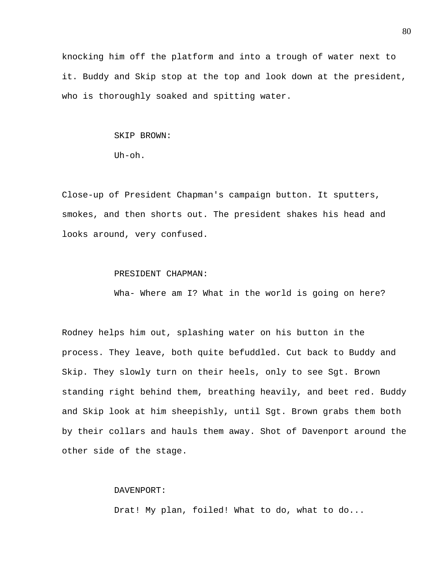knocking him off the platform and into a trough of water next to it. Buddy and Skip stop at the top and look down at the president, who is thoroughly soaked and spitting water.

#### SKIP BROWN:

Uh-oh.

Close-up of President Chapman's campaign button. It sputters, smokes, and then shorts out. The president shakes his head and looks around, very confused.

#### PRESIDENT CHAPMAN:

Wha- Where am I? What in the world is going on here?

Rodney helps him out, splashing water on his button in the process. They leave, both quite befuddled. Cut back to Buddy and Skip. They slowly turn on their heels, only to see Sgt. Brown standing right behind them, breathing heavily, and beet red. Buddy and Skip look at him sheepishly, until Sgt. Brown grabs them both by their collars and hauls them away. Shot of Davenport around the other side of the stage.

# DAVENPORT:

Drat! My plan, foiled! What to do, what to do...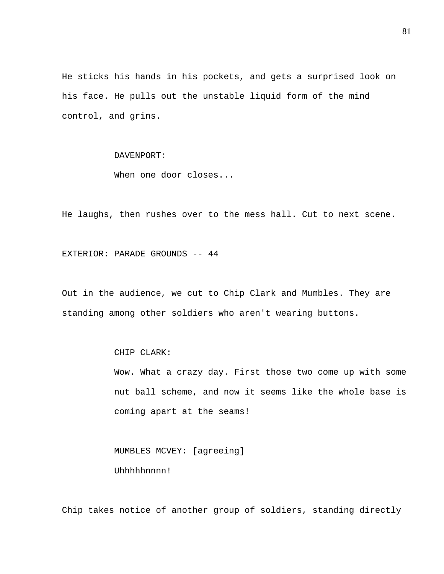He sticks his hands in his pockets, and gets a surprised look on his face. He pulls out the unstable liquid form of the mind control, and grins.

# DAVENPORT:

When one door closes...

He laughs, then rushes over to the mess hall. Cut to next scene.

EXTERIOR: PARADE GROUNDS -- 44

Out in the audience, we cut to Chip Clark and Mumbles. They are standing among other soldiers who aren't wearing buttons.

CHIP CLARK:

Wow. What a crazy day. First those two come up with some nut ball scheme, and now it seems like the whole base is coming apart at the seams!

 MUMBLES MCVEY: [agreeing] Uhhhhhnnnn!

Chip takes notice of another group of soldiers, standing directly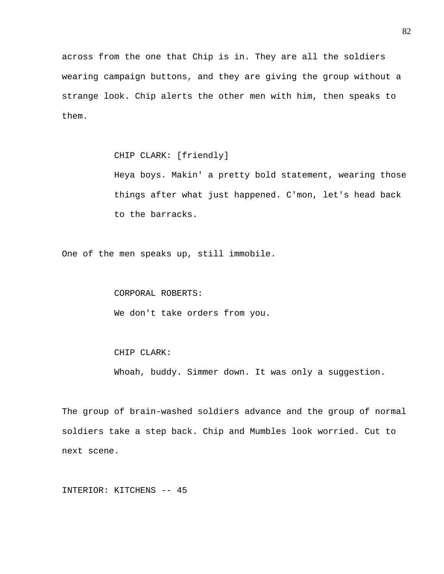across from the one that Chip is in. They are all the soldiers wearing campaign buttons, and they are giving the group without a strange look. Chip alerts the other men with him, then speaks to them.

CHIP CLARK: [friendly]

Heya boys. Makin' a pretty bold statement, wearing those things after what just happened. C'mon, let's head back to the barracks.

One of the men speaks up, still immobile.

### CORPORAL ROBERTS:

We don't take orders from you.

### CHIP CLARK:

Whoah, buddy. Simmer down. It was only a suggestion.

The group of brain-washed soldiers advance and the group of normal soldiers take a step back. Chip and Mumbles look worried. Cut to next scene.

INTERIOR: KITCHENS -- 45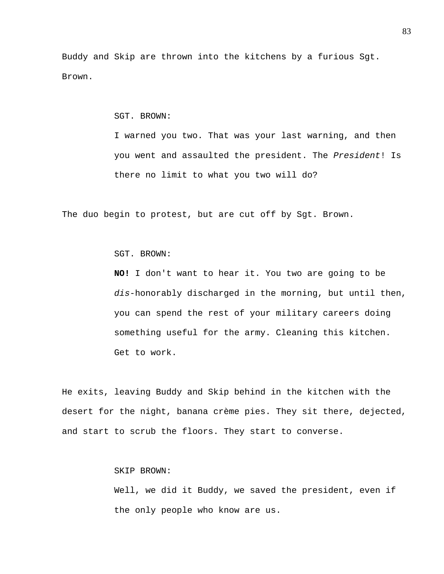Buddy and Skip are thrown into the kitchens by a furious Sgt. Brown.

SGT. BROWN:

I warned you two. That was your last warning, and then you went and assaulted the president. The *President*! Is there no limit to what you two will do?

The duo begin to protest, but are cut off by Sgt. Brown.

SGT. BROWN:

**NO!** I don't want to hear it. You two are going to be *dis*-honorably discharged in the morning, but until then, you can spend the rest of your military careers doing something useful for the army. Cleaning this kitchen. Get to work.

He exits, leaving Buddy and Skip behind in the kitchen with the desert for the night, banana crème pies. They sit there, dejected, and start to scrub the floors. They start to converse.

SKIP BROWN:

Well, we did it Buddy, we saved the president, even if the only people who know are us.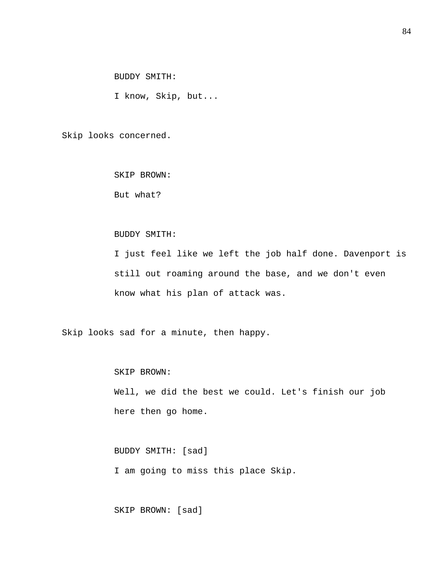BUDDY SMITH:

I know, Skip, but...

Skip looks concerned.

SKIP BROWN:

But what?

## BUDDY SMITH:

I just feel like we left the job half done. Davenport is still out roaming around the base, and we don't even know what his plan of attack was.

Skip looks sad for a minute, then happy.

 SKIP BROWN: Well, we did the best we could. Let's finish our job here then go home.

 BUDDY SMITH: [sad] I am going to miss this place Skip.

SKIP BROWN: [sad]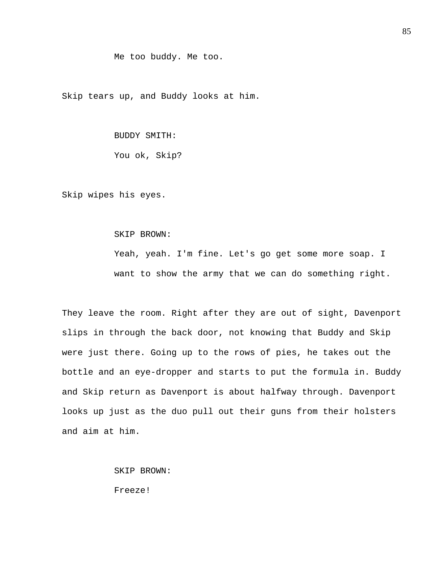### Me too buddy. Me too.

Skip tears up, and Buddy looks at him.

## BUDDY SMITH:

You ok, Skip?

Skip wipes his eyes.

#### SKIP BROWN:

Yeah, yeah. I'm fine. Let's go get some more soap. I want to show the army that we can do something right.

They leave the room. Right after they are out of sight, Davenport slips in through the back door, not knowing that Buddy and Skip were just there. Going up to the rows of pies, he takes out the bottle and an eye-dropper and starts to put the formula in. Buddy and Skip return as Davenport is about halfway through. Davenport looks up just as the duo pull out their guns from their holsters and aim at him.

SKIP BROWN:

Freeze!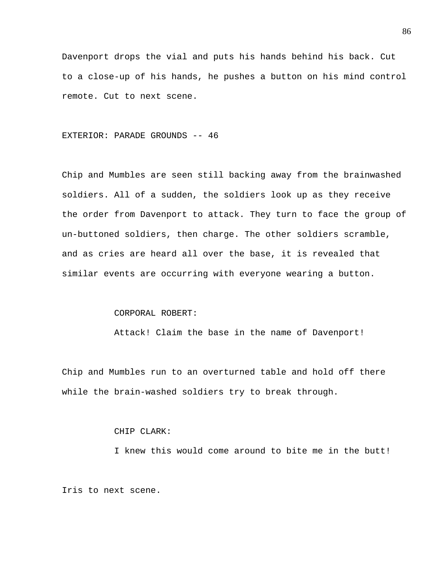Davenport drops the vial and puts his hands behind his back. Cut to a close-up of his hands, he pushes a button on his mind control remote. Cut to next scene.

## EXTERIOR: PARADE GROUNDS -- 46

Chip and Mumbles are seen still backing away from the brainwashed soldiers. All of a sudden, the soldiers look up as they receive the order from Davenport to attack. They turn to face the group of un-buttoned soldiers, then charge. The other soldiers scramble, and as cries are heard all over the base, it is revealed that similar events are occurring with everyone wearing a button.

## CORPORAL ROBERT:

Attack! Claim the base in the name of Davenport!

Chip and Mumbles run to an overturned table and hold off there while the brain-washed soldiers try to break through.

# CHIP CLARK:

I knew this would come around to bite me in the butt!

Iris to next scene.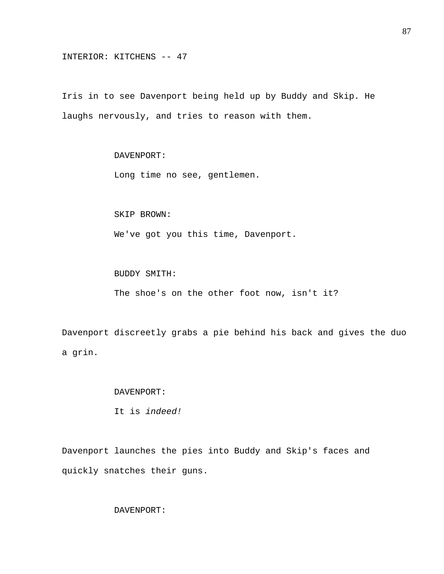INTERIOR: KITCHENS -- 47

Iris in to see Davenport being held up by Buddy and Skip. He laughs nervously, and tries to reason with them.

# DAVENPORT:

Long time no see, gentlemen.

SKIP BROWN:

We've got you this time, Davenport.

BUDDY SMITH:

The shoe's on the other foot now, isn't it?

Davenport discreetly grabs a pie behind his back and gives the duo a grin.

### DAVENPORT:

It is *indeed!* 

Davenport launches the pies into Buddy and Skip's faces and quickly snatches their guns.

DAVENPORT: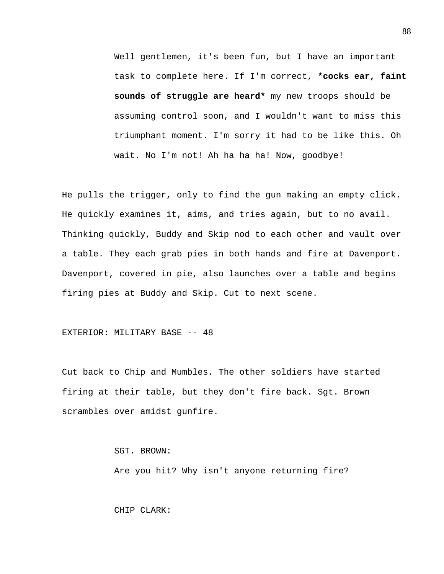Well gentlemen, it's been fun, but I have an important task to complete here. If I'm correct, **\*cocks ear, faint sounds of struggle are heard\*** my new troops should be assuming control soon, and I wouldn't want to miss this triumphant moment. I'm sorry it had to be like this. Oh wait. No I'm not! Ah ha ha ha! Now, goodbye!

He pulls the trigger, only to find the gun making an empty click. He quickly examines it, aims, and tries again, but to no avail. Thinking quickly, Buddy and Skip nod to each other and vault over a table. They each grab pies in both hands and fire at Davenport. Davenport, covered in pie, also launches over a table and begins firing pies at Buddy and Skip. Cut to next scene.

### EXTERIOR: MILITARY BASE -- 48

Cut back to Chip and Mumbles. The other soldiers have started firing at their table, but they don't fire back. Sgt. Brown scrambles over amidst gunfire.

SGT. BROWN:

Are you hit? Why isn't anyone returning fire?

CHIP CLARK: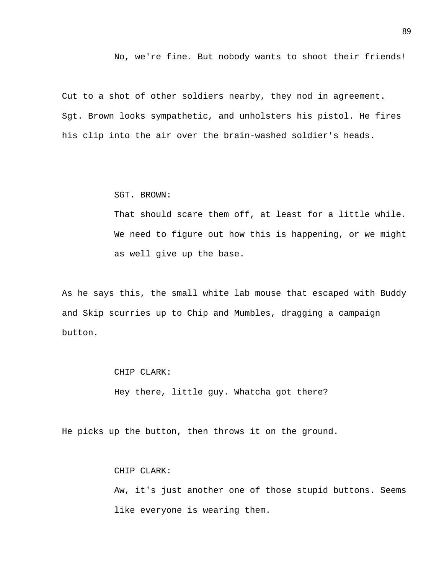No, we're fine. But nobody wants to shoot their friends!

Cut to a shot of other soldiers nearby, they nod in agreement. Sgt. Brown looks sympathetic, and unholsters his pistol. He fires his clip into the air over the brain-washed soldier's heads.

#### SGT. BROWN:

That should scare them off, at least for a little while. We need to figure out how this is happening, or we might as well give up the base.

As he says this, the small white lab mouse that escaped with Buddy and Skip scurries up to Chip and Mumbles, dragging a campaign button.

### CHIP CLARK:

Hey there, little guy. Whatcha got there?

He picks up the button, then throws it on the ground.

### CHIP CLARK:

Aw, it's just another one of those stupid buttons. Seems like everyone is wearing them.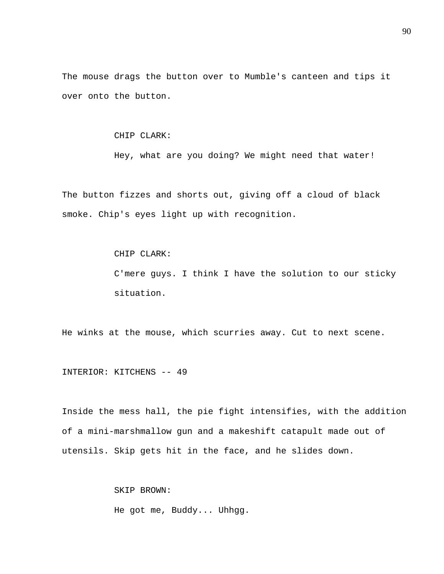The mouse drags the button over to Mumble's canteen and tips it over onto the button.

## CHIP CLARK:

Hey, what are you doing? We might need that water!

The button fizzes and shorts out, giving off a cloud of black smoke. Chip's eyes light up with recognition.

### CHIP CLARK:

C'mere guys. I think I have the solution to our sticky situation.

He winks at the mouse, which scurries away. Cut to next scene.

INTERIOR: KITCHENS -- 49

Inside the mess hall, the pie fight intensifies, with the addition of a mini-marshmallow gun and a makeshift catapult made out of utensils. Skip gets hit in the face, and he slides down.

> SKIP BROWN: He got me, Buddy... Uhhgg.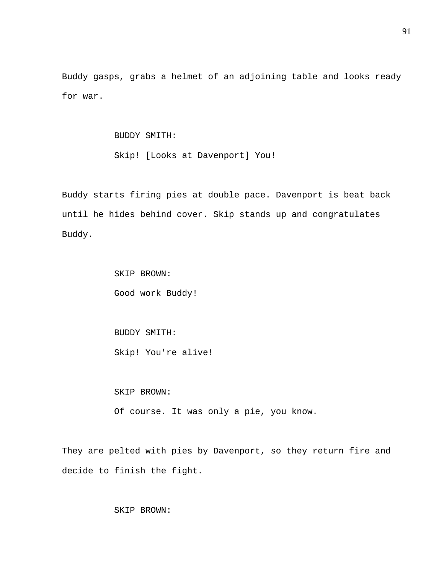Buddy gasps, grabs a helmet of an adjoining table and looks ready for war.

BUDDY SMITH:

Skip! [Looks at Davenport] You!

Buddy starts firing pies at double pace. Davenport is beat back until he hides behind cover. Skip stands up and congratulates Buddy.

> SKIP BROWN: Good work Buddy!

 BUDDY SMITH: Skip! You're alive!

SKIP BROWN:

Of course. It was only a pie, you know.

They are pelted with pies by Davenport, so they return fire and decide to finish the fight.

SKIP BROWN: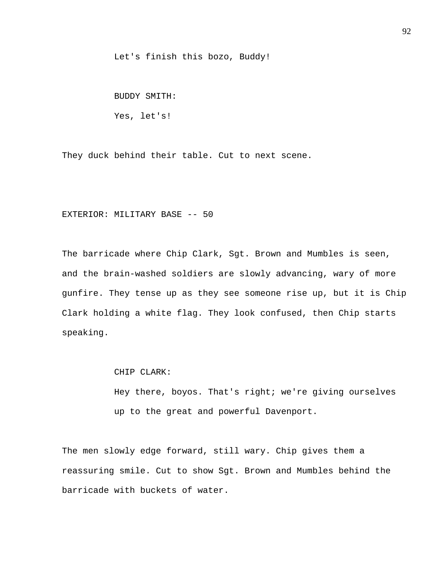Let's finish this bozo, Buddy!

BUDDY SMITH:

Yes, let's!

They duck behind their table. Cut to next scene.

# EXTERIOR: MILITARY BASE -- 50

The barricade where Chip Clark, Sgt. Brown and Mumbles is seen, and the brain-washed soldiers are slowly advancing, wary of more gunfire. They tense up as they see someone rise up, but it is Chip Clark holding a white flag. They look confused, then Chip starts speaking.

CHIP CLARK:

Hey there, boyos. That's right; we're giving ourselves up to the great and powerful Davenport.

The men slowly edge forward, still wary. Chip gives them a reassuring smile. Cut to show Sgt. Brown and Mumbles behind the barricade with buckets of water.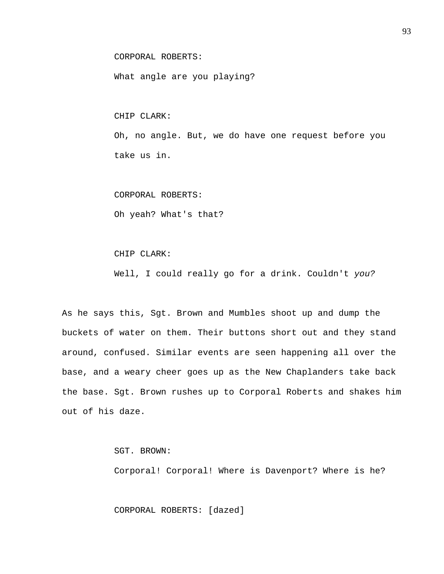CORPORAL ROBERTS:

What angle are you playing?

CHIP CLARK:

Oh, no angle. But, we do have one request before you take us in.

CORPORAL ROBERTS:

Oh yeah? What's that?

CHIP CLARK:

Well, I could really go for a drink. Couldn't *you?* 

As he says this, Sgt. Brown and Mumbles shoot up and dump the buckets of water on them. Their buttons short out and they stand around, confused. Similar events are seen happening all over the base, and a weary cheer goes up as the New Chaplanders take back the base. Sgt. Brown rushes up to Corporal Roberts and shakes him out of his daze.

SGT. BROWN:

Corporal! Corporal! Where is Davenport? Where is he?

CORPORAL ROBERTS: [dazed]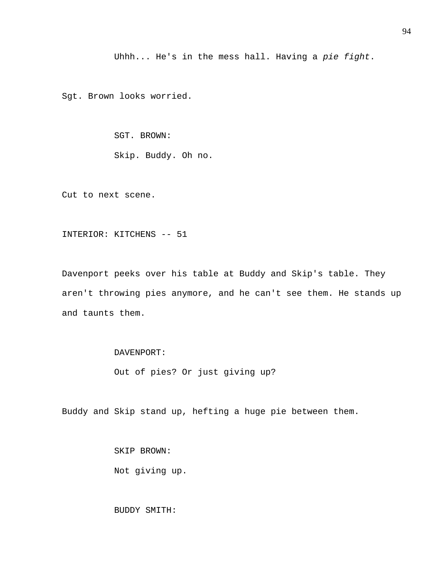Uhhh... He's in the mess hall. Having a *pie fight*.

Sgt. Brown looks worried.

SGT. BROWN:

Skip. Buddy. Oh no.

Cut to next scene.

INTERIOR: KITCHENS -- 51

Davenport peeks over his table at Buddy and Skip's table. They aren't throwing pies anymore, and he can't see them. He stands up and taunts them.

DAVENPORT:

Out of pies? Or just giving up?

Buddy and Skip stand up, hefting a huge pie between them.

 SKIP BROWN: Not giving up.

BUDDY SMITH: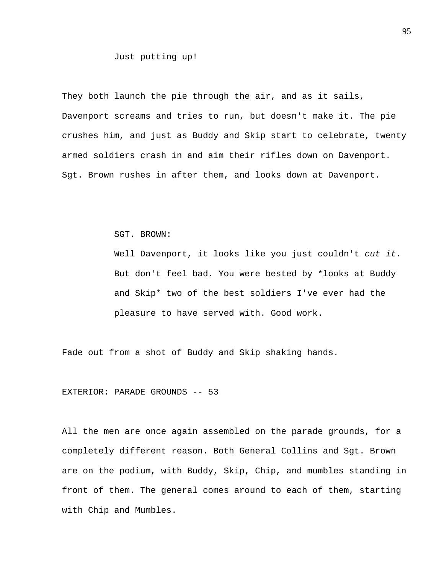Just putting up!

They both launch the pie through the air, and as it sails, Davenport screams and tries to run, but doesn't make it. The pie crushes him, and just as Buddy and Skip start to celebrate, twenty armed soldiers crash in and aim their rifles down on Davenport. Sgt. Brown rushes in after them, and looks down at Davenport.

SGT. BROWN:

Well Davenport, it looks like you just couldn't *cut it*. But don't feel bad. You were bested by \*looks at Buddy and Skip\* two of the best soldiers I've ever had the pleasure to have served with. Good work.

Fade out from a shot of Buddy and Skip shaking hands.

EXTERIOR: PARADE GROUNDS -- 53

All the men are once again assembled on the parade grounds, for a completely different reason. Both General Collins and Sgt. Brown are on the podium, with Buddy, Skip, Chip, and mumbles standing in front of them. The general comes around to each of them, starting with Chip and Mumbles.

95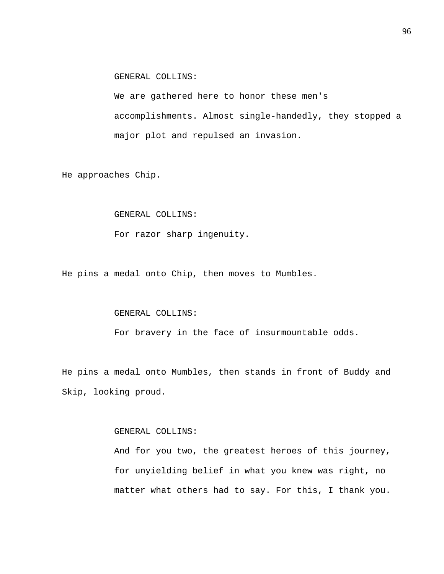GENERAL COLLINS:

We are gathered here to honor these men's accomplishments. Almost single-handedly, they stopped a major plot and repulsed an invasion.

He approaches Chip.

## GENERAL COLLINS:

For razor sharp ingenuity.

He pins a medal onto Chip, then moves to Mumbles.

## GENERAL COLLINS:

For bravery in the face of insurmountable odds.

He pins a medal onto Mumbles, then stands in front of Buddy and Skip, looking proud.

# GENERAL COLLINS:

And for you two, the greatest heroes of this journey, for unyielding belief in what you knew was right, no matter what others had to say. For this, I thank you.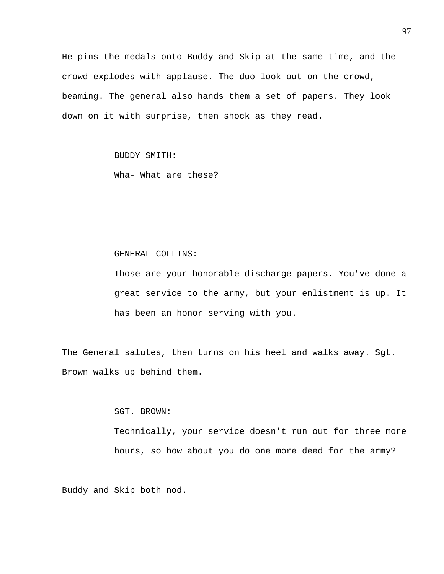He pins the medals onto Buddy and Skip at the same time, and the crowd explodes with applause. The duo look out on the crowd, beaming. The general also hands them a set of papers. They look down on it with surprise, then shock as they read.

BUDDY SMITH:

Wha- What are these?

### GENERAL COLLINS:

Those are your honorable discharge papers. You've done a great service to the army, but your enlistment is up. It has been an honor serving with you.

The General salutes, then turns on his heel and walks away. Sgt. Brown walks up behind them.

SGT. BROWN:

Technically, your service doesn't run out for three more hours, so how about you do one more deed for the army?

Buddy and Skip both nod.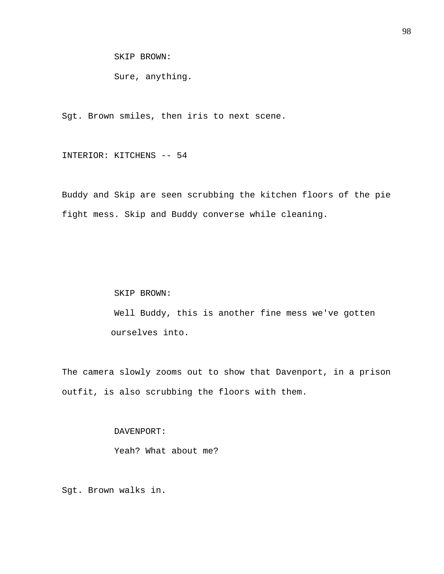SKIP BROWN:

Sure, anything.

Sgt. Brown smiles, then iris to next scene.

INTERIOR: KITCHENS -- 54

Buddy and Skip are seen scrubbing the kitchen floors of the pie fight mess. Skip and Buddy converse while cleaning.

> SKIP BROWN: Well Buddy, this is another fine mess we've gotten ourselves into.

The camera slowly zooms out to show that Davenport, in a prison outfit, is also scrubbing the floors with them.

DAVENPORT:

Yeah? What about me?

Sgt. Brown walks in.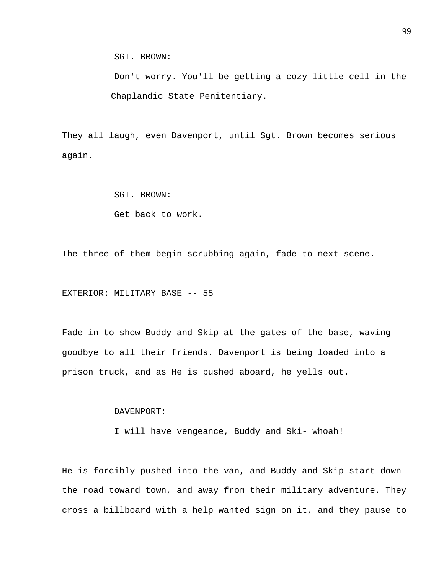SGT. BROWN:

 Don't worry. You'll be getting a cozy little cell in the Chaplandic State Penitentiary.

They all laugh, even Davenport, until Sgt. Brown becomes serious again.

SGT. BROWN:

Get back to work.

The three of them begin scrubbing again, fade to next scene.

EXTERIOR: MILITARY BASE -- 55

Fade in to show Buddy and Skip at the gates of the base, waving goodbye to all their friends. Davenport is being loaded into a prison truck, and as He is pushed aboard, he yells out.

DAVENPORT:

I will have vengeance, Buddy and Ski- whoah!

He is forcibly pushed into the van, and Buddy and Skip start down the road toward town, and away from their military adventure. They cross a billboard with a help wanted sign on it, and they pause to